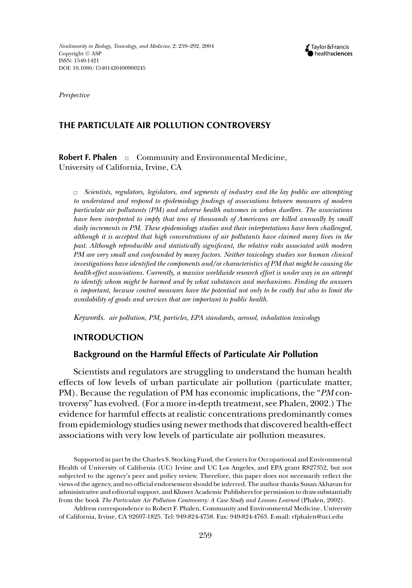*Perspective*

# **THE PARTICULATE AIR POLLUTION CONTROVERSY**

**Robert F. Phalen**  $\Box$  Community and Environmental Medicine, University of California, Irvine, CA

✷ *Scientists, regulators, legislators, and segments of industry and the lay public are attempting to understand and respond to epidemiology findings of associations between measures of modern particulate air pollutants (PM) and adverse health outcomes in urban dwellers. The associations have been interpreted to imply that tens of thousands of Americans are killed annually by small daily increments in PM. These epidemiology studies and their interpretations have been challenged, although it is accepted that high concentrations of air pollutants have claimed many lives in the past. Although reproducible and statistically significant, the relative risks associated with modern PM are very small and confounded by many factors. Neither toxicology studies nor human clinical investigations have identified the components and/or characteristics of PM that might be causing the health-effect associations. Currently, a massive worldwide research effort is under way in an attempt to identify whom might be harmed and by what substances and mechanisms. Finding the answers is important, because control measures have the potential not only to be costly but also to limit the availability of goods and services that are important to public health.*

*Keywords. air pollution, PM, particles, EPA standards, aerosol, inhalation toxicology*

## **INTRODUCTION**

#### **Background on the Harmful Effects of Particulate Air Pollution**

Scientists and regulators are struggling to understand the human health effects of low levels of urban particulate air pollution (particulate matter, PM). Because the regulation of PM has economic implications, the "*PM* controversy" has evolved. (For a more in-depth treatment, see Phalen, 2002.) The evidence for harmful effects at realistic concentrations predominantly comes from epidemiology studies using newer methods that discovered health-effect associations with very low levels of particulate air pollution measures.

Supported in part by the Charles S. Stocking Fund, the Centers for Occupational and Environmental Health of University of California (UC) Irvine and UC Los Angeles, and EPA grant R827352, but not subjected to the agency's peer and policy review. Therefore, this paper does not necessarily reflect the views of the agency, and no official endorsement should be inferred. The author thanks Susan Akhavan for administrative and editorial support, and Kluwer Academic Publishers for permission to draw substantially from the book *The Particulate Air Pollution Controversy: A Case Study and Lessons Learned* (Phalen, 2002).

Address correspondence to Robert F. Phalen, Community and Environmental Medicine, University of California, Irvine, CA 92697-1825. Tel: 949-824-4758. Fax: 949-824-4763. E-mail: rfphalen@uci.edu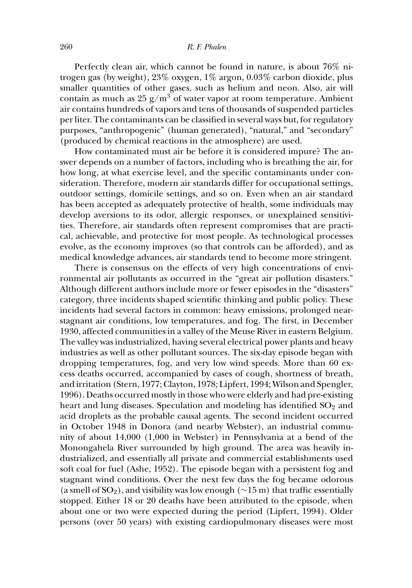#### 260 *R. F. Phalen*

Perfectly clean air, which cannot be found in nature, is about 76% nitrogen gas (by weight), 23% oxygen, 1% argon, 0.03% carbon dioxide, plus smaller quantities of other gases, such as helium and neon. Also, air will contain as much as  $25 \text{ g/m}^3$  of water vapor at room temperature. Ambient air contains hundreds of vapors and tens of thousands of suspended particles per liter. The contaminants can be classified in several ways but, for regulatory purposes, "anthropogenic" (human generated), "natural," and "secondary" (produced by chemical reactions in the atmosphere) are used.

How contaminated must air be before it is considered impure? The answer depends on a number of factors, including who is breathing the air, for how long, at what exercise level, and the specific contaminants under consideration. Therefore, modern air standards differ for occupational settings, outdoor settings, domicile settings, and so on. Even when an air standard has been accepted as adequately protective of health, some individuals may develop aversions to its odor, allergic responses, or unexplained sensitivities. Therefore, air standards often represent compromises that are practical, achievable, and protective for most people. As technological processes evolve, as the economy improves (so that controls can be afforded), and as medical knowledge advances, air standards tend to become more stringent.

There is consensus on the effects of very high concentrations of environmental air pollutants as occurred in the "great air pollution disasters." Although different authors include more or fewer episodes in the "disasters" category, three incidents shaped scientific thinking and public policy. These incidents had several factors in common: heavy emissions, prolonged nearstagnant air conditions, low temperatures, and fog. The first, in December 1930, affected communities in a valley of the Meuse River in eastern Belgium. The valley was industrialized, having several electrical power plants and heavy industries as well as other pollutant sources. The six-day episode began with dropping temperatures, fog, and very low wind speeds. More than 60 excess deaths occurred, accompanied by cases of cough, shortness of breath, and irritation (Stern, 1977; Clayton, 1978; Lipfert, 1994; Wilson and Spengler, 1996). Deaths occurred mostly in those who were elderly and had pre-existing heart and lung diseases. Speculation and modeling has identified  $SO<sub>2</sub>$  and acid droplets as the probable causal agents. The second incident occurred in October 1948 in Donora (and nearby Webster), an industrial community of about 14,000 (1,000 in Webster) in Pennsylvania at a bend of the Monongahela River surrounded by high ground. The area was heavily industrialized, and essentially all private and commercial establishments used soft coal for fuel (Ashe, 1952). The episode began with a persistent fog and stagnant wind conditions. Over the next few days the fog became odorous (a smell of SO<sub>2</sub>), and visibility was low enough ( $\sim$ 15 m) that traffic essentially stopped. Either 18 or 20 deaths have been attributed to the episode, when about one or two were expected during the period (Lipfert, 1994). Older persons (over 50 years) with existing cardiopulmonary diseases were most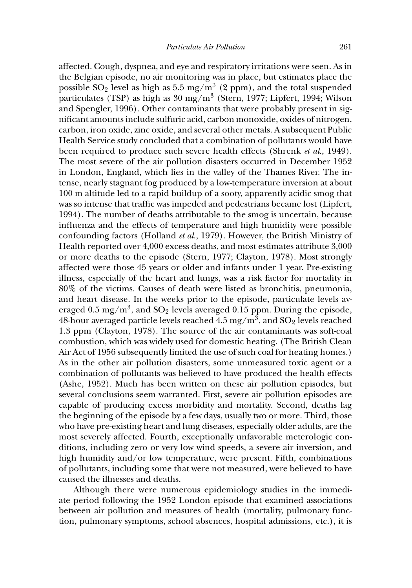affected. Cough, dyspnea, and eye and respiratory irritations were seen. As in the Belgian episode, no air monitoring was in place, but estimates place the possible  $SO_2$  level as high as 5.5 mg/m<sup>3</sup> (2 ppm), and the total suspended particulates (TSP) as high as 30 mg/m<sup>3</sup> (Stern, 1977; Lipfert, 1994; Wilson and Spengler, 1996). Other contaminants that were probably present in significant amounts include sulfuric acid, carbon monoxide, oxides of nitrogen, carbon, iron oxide, zinc oxide, and several other metals. A subsequent Public Health Service study concluded that a combination of pollutants would have been required to produce such severe health effects (Shrenk *et al*., 1949). The most severe of the air pollution disasters occurred in December 1952 in London, England, which lies in the valley of the Thames River. The intense, nearly stagnant fog produced by a low-temperature inversion at about 100 m altitude led to a rapid buildup of a sooty, apparently acidic smog that was so intense that traffic was impeded and pedestrians became lost (Lipfert, 1994). The number of deaths attributable to the smog is uncertain, because influenza and the effects of temperature and high humidity were possible confounding factors (Holland *et al*., 1979). However, the British Ministry of Health reported over 4,000 excess deaths, and most estimates attribute 3,000 or more deaths to the episode (Stern, 1977; Clayton, 1978). Most strongly affected were those 45 years or older and infants under 1 year. Pre-existing illness, especially of the heart and lungs, was a risk factor for mortality in 80% of the victims. Causes of death were listed as bronchitis, pneumonia, and heart disease. In the weeks prior to the episode, particulate levels averaged 0.5 mg/m<sup>3</sup>, and SO<sub>2</sub> levels averaged 0.15 ppm. During the episode, 48-hour averaged particle levels reached  $4.5$  mg/m<sup>3</sup>, and SO<sub>2</sub> levels reached 1.3 ppm (Clayton, 1978). The source of the air contaminants was soft-coal combustion, which was widely used for domestic heating. (The British Clean Air Act of 1956 subsequently limited the use of such coal for heating homes.) As in the other air pollution disasters, some unmeasured toxic agent or a combination of pollutants was believed to have produced the health effects (Ashe, 1952). Much has been written on these air pollution episodes, but several conclusions seem warranted. First, severe air pollution episodes are capable of producing excess morbidity and mortality. Second, deaths lag the beginning of the episode by a few days, usually two or more. Third, those who have pre-existing heart and lung diseases, especially older adults, are the most severely affected. Fourth, exceptionally unfavorable meterologic conditions, including zero or very low wind speeds, a severe air inversion, and high humidity and/or low temperature, were present. Fifth, combinations of pollutants, including some that were not measured, were believed to have caused the illnesses and deaths.

Although there were numerous epidemiology studies in the immediate period following the 1952 London episode that examined associations between air pollution and measures of health (mortality, pulmonary function, pulmonary symptoms, school absences, hospital admissions, etc.), it is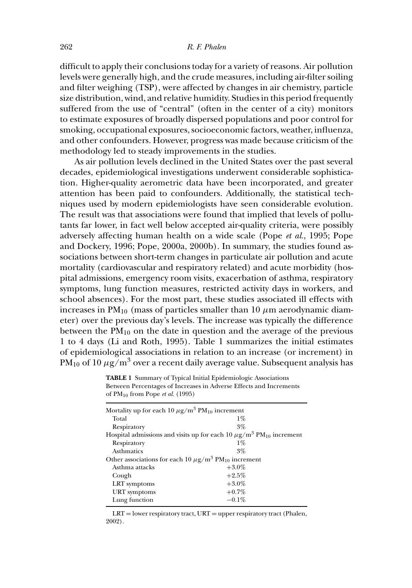difficult to apply their conclusions today for a variety of reasons. Air pollution levels were generally high, and the crude measures, including air-filter soiling and filter weighing (TSP), were affected by changes in air chemistry, particle size distribution, wind, and relative humidity. Studies in this period frequently suffered from the use of "central" (often in the center of a city) monitors to estimate exposures of broadly dispersed populations and poor control for smoking, occupational exposures, socioeconomic factors, weather, influenza, and other confounders. However, progress was made because criticism of the methodology led to steady improvements in the studies.

As air pollution levels declined in the United States over the past several decades, epidemiological investigations underwent considerable sophistication. Higher-quality aerometric data have been incorporated, and greater attention has been paid to confounders. Additionally, the statistical techniques used by modern epidemiologists have seen considerable evolution. The result was that associations were found that implied that levels of pollutants far lower, in fact well below accepted air-quality criteria, were possibly adversely affecting human health on a wide scale (Pope *et al*., 1995; Pope and Dockery, 1996; Pope, 2000a, 2000b). In summary, the studies found associations between short-term changes in particulate air pollution and acute mortality (cardiovascular and respiratory related) and acute morbidity (hospital admissions, emergency room visits, exacerbation of asthma, respiratory symptoms, lung function measures, restricted activity days in workers, and school absences). For the most part, these studies associated ill effects with increases in  $PM_{10}$  (mass of particles smaller than 10  $\mu$ m aerodynamic diameter) over the previous day's levels. The increase was typically the difference between the  $PM_{10}$  on the date in question and the average of the previous 1 to 4 days (Li and Roth, 1995). Table 1 summarizes the initial estimates of epidemiological associations in relation to an increase (or increment) in  $PM_{10}$  of 10  $\mu$ g/m<sup>3</sup> over a recent daily average value. Subsequent analysis has

**TABLE 1** Summary of Typical Initial Epidemiologic Associations Between Percentages of Increases in Adverse Effects and Increments of PM10 from Pope *et al*. (1995)

| Mortality up for each 10 $\mu$ g/m <sup>3</sup> PM <sub>10</sub> increment                  |          |  |  |
|---------------------------------------------------------------------------------------------|----------|--|--|
| Total                                                                                       | $1\%$    |  |  |
| Respiratory                                                                                 | $3\%$    |  |  |
| Hospital admissions and visits up for each 10 $\mu\text{g}/\text{m}^3$ PM $_{10}$ increment |          |  |  |
| Respiratory                                                                                 | $1\%$    |  |  |
| <b>Asthmatics</b>                                                                           | $3\%$    |  |  |
| Other associations for each 10 $\mu$ g/m <sup>3</sup> PM <sub>10</sub> increment            |          |  |  |
| Asthma attacks                                                                              | $+3.0\%$ |  |  |
| Cough                                                                                       | $+2.5\%$ |  |  |
| LRT symptoms                                                                                | $+3.0\%$ |  |  |
| <b>URT</b> symptoms                                                                         | $+0.7\%$ |  |  |
| Lung function                                                                               | $-0.1\%$ |  |  |
|                                                                                             |          |  |  |

 $LRT =$  lower respiratory tract,  $URT =$  upper respiratory tract (Phalen, 2002).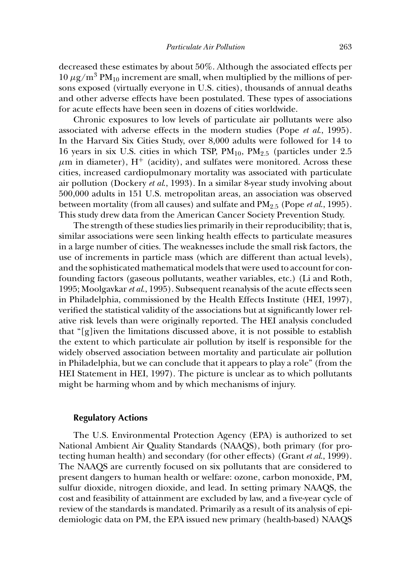decreased these estimates by about 50%. Although the associated effects per  $10 \mu$ g/m<sup>3</sup> PM<sub>10</sub> increment are small, when multiplied by the millions of persons exposed (virtually everyone in U.S. cities), thousands of annual deaths and other adverse effects have been postulated. These types of associations for acute effects have been seen in dozens of cities worldwide.

Chronic exposures to low levels of particulate air pollutants were also associated with adverse effects in the modern studies (Pope *et al*., 1995). In the Harvard Six Cities Study, over 8,000 adults were followed for 14 to 16 years in six U.S. cities in which TSP,  $PM_{10}$ ,  $PM_{2.5}$  (particles under 2.5  $\mu$ m in diameter), H<sup>+</sup> (acidity), and sulfates were monitored. Across these cities, increased cardiopulmonary mortality was associated with particulate air pollution (Dockery *et al*., 1993). In a similar 8-year study involving about 500,000 adults in 151 U.S. metropolitan areas, an association was observed between mortality (from all causes) and sulfate and PM2.<sup>5</sup> (Pope *et al*., 1995). This study drew data from the American Cancer Society Prevention Study.

The strength of these studies lies primarily in their reproducibility; that is, similar associations were seen linking health effects to particulate measures in a large number of cities. The weaknesses include the small risk factors, the use of increments in particle mass (which are different than actual levels), and the sophisticated mathematical models that were used to account for confounding factors (gaseous pollutants, weather variables, etc.) (Li and Roth, 1995; Moolgavkar *et al*., 1995). Subsequent reanalysis of the acute effects seen in Philadelphia, commissioned by the Health Effects Institute (HEI, 1997), verified the statistical validity of the associations but at significantly lower relative risk levels than were originally reported. The HEI analysis concluded that "[g]iven the limitations discussed above, it is not possible to establish the extent to which particulate air pollution by itself is responsible for the widely observed association between mortality and particulate air pollution in Philadelphia, but we can conclude that it appears to play a role" (from the HEI Statement in HEI, 1997). The picture is unclear as to which pollutants might be harming whom and by which mechanisms of injury.

#### **Regulatory Actions**

The U.S. Environmental Protection Agency (EPA) is authorized to set National Ambient Air Quality Standards (NAAQS), both primary (for protecting human health) and secondary (for other effects) (Grant *et al*., 1999). The NAAQS are currently focused on six pollutants that are considered to present dangers to human health or welfare: ozone, carbon monoxide, PM, sulfur dioxide, nitrogen dioxide, and lead. In setting primary NAAQS, the cost and feasibility of attainment are excluded by law, and a five-year cycle of review of the standards is mandated. Primarily as a result of its analysis of epidemiologic data on PM, the EPA issued new primary (health-based) NAAQS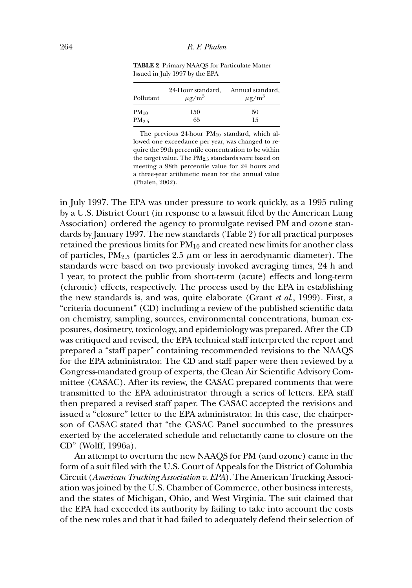| Pollutant  | 24-Hour standard,<br>$\mu$ g/m <sup>3</sup> | Annual standard,<br>$\mu$ g/m <sup>3</sup> |
|------------|---------------------------------------------|--------------------------------------------|
| $PM_{10}$  | 150                                         | 50                                         |
| $PM_{2.5}$ | 65                                          | 15                                         |

**TABLE 2** Primary NAAQS for Particulate Matter Issued in July 1997 by the EPA

The previous  $24$ -hour  $PM_{10}$  standard, which allowed one exceedance per year, was changed to require the 99th percentile concentration to be within the target value. The PM<sub>2.5</sub> standards were based on meeting a 98th percentile value for 24 hours and a three-year arithmetic mean for the annual value (Phalen, 2002).

in July 1997. The EPA was under pressure to work quickly, as a 1995 ruling by a U.S. District Court (in response to a lawsuit filed by the American Lung Association) ordered the agency to promulgate revised PM and ozone standards by January 1997. The new standards (Table 2) for all practical purposes retained the previous limits for  $PM_{10}$  and created new limits for another class of particles,  $PM_{2.5}$  (particles 2.5  $\mu$ m or less in aerodynamic diameter). The standards were based on two previously invoked averaging times, 24 h and 1 year, to protect the public from short-term (acute) effects and long-term (chronic) effects, respectively. The process used by the EPA in establishing the new standards is, and was, quite elaborate (Grant *et al*., 1999). First, a "criteria document" (CD) including a review of the published scientific data on chemistry, sampling, sources, environmental concentrations, human exposures, dosimetry, toxicology, and epidemiology was prepared. After the CD was critiqued and revised, the EPA technical staff interpreted the report and prepared a "staff paper" containing recommended revisions to the NAAQS for the EPA administrator. The CD and staff paper were then reviewed by a Congress-mandated group of experts, the Clean Air Scientific Advisory Committee (CASAC). After its review, the CASAC prepared comments that were transmitted to the EPA administrator through a series of letters. EPA staff then prepared a revised staff paper. The CASAC accepted the revisions and issued a "closure" letter to the EPA administrator. In this case, the chairperson of CASAC stated that "the CASAC Panel succumbed to the pressures exerted by the accelerated schedule and reluctantly came to closure on the CD" (Wolff, 1996a).

An attempt to overturn the new NAAQS for PM (and ozone) came in the form of a suit filed with the U.S. Court of Appeals for the District of Columbia Circuit (*American Trucking Association v. EPA*). The American Trucking Association was joined by the U.S. Chamber of Commerce, other business interests, and the states of Michigan, Ohio, and West Virginia. The suit claimed that the EPA had exceeded its authority by failing to take into account the costs of the new rules and that it had failed to adequately defend their selection of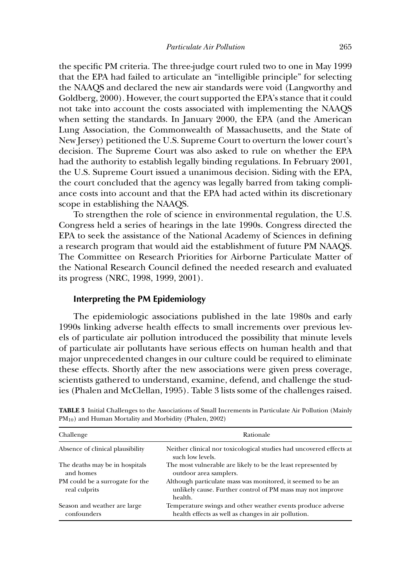the specific PM criteria. The three-judge court ruled two to one in May 1999 that the EPA had failed to articulate an "intelligible principle" for selecting the NAAQS and declared the new air standards were void (Langworthy and Goldberg, 2000). However, the court supported the EPA's stance that it could not take into account the costs associated with implementing the NAAQS when setting the standards. In January 2000, the EPA (and the American Lung Association, the Commonwealth of Massachusetts, and the State of New Jersey) petitioned the U.S. Supreme Court to overturn the lower court's decision. The Supreme Court was also asked to rule on whether the EPA had the authority to establish legally binding regulations. In February 2001, the U.S. Supreme Court issued a unanimous decision. Siding with the EPA, the court concluded that the agency was legally barred from taking compliance costs into account and that the EPA had acted within its discretionary scope in establishing the NAAQS.

To strengthen the role of science in environmental regulation, the U.S. Congress held a series of hearings in the late 1990s. Congress directed the EPA to seek the assistance of the National Academy of Sciences in defining a research program that would aid the establishment of future PM NAAQS. The Committee on Research Priorities for Airborne Particulate Matter of the National Research Council defined the needed research and evaluated its progress (NRC, 1998, 1999, 2001).

# **Interpreting the PM Epidemiology**

The epidemiologic associations published in the late 1980s and early 1990s linking adverse health effects to small increments over previous levels of particulate air pollution introduced the possibility that minute levels of particulate air pollutants have serious effects on human health and that major unprecedented changes in our culture could be required to eliminate these effects. Shortly after the new associations were given press coverage, scientists gathered to understand, examine, defend, and challenge the studies (Phalen and McClellan, 1995). Table 3 lists some of the challenges raised.

| Challenge                                        | Rationale                                                                                                                            |
|--------------------------------------------------|--------------------------------------------------------------------------------------------------------------------------------------|
| Absence of clinical plausibility                 | Neither clinical nor toxicological studies had uncovered effects at<br>such low levels.                                              |
| The deaths may be in hospitals<br>and homes      | The most vulnerable are likely to be the least represented by<br>outdoor area samplers.                                              |
| PM could be a surrogate for the<br>real culprits | Although particulate mass was monitored, it seemed to be an<br>unlikely cause. Further control of PM mass may not improve<br>health. |
| Season and weather are large<br>confounders      | Temperature swings and other weather events produce adverse<br>health effects as well as changes in air pollution.                   |

**TABLE 3** Initial Challenges to the Associations of Small Increments in Particulate Air Pollution (Mainly PM10) and Human Mortality and Morbidity (Phalen, 2002)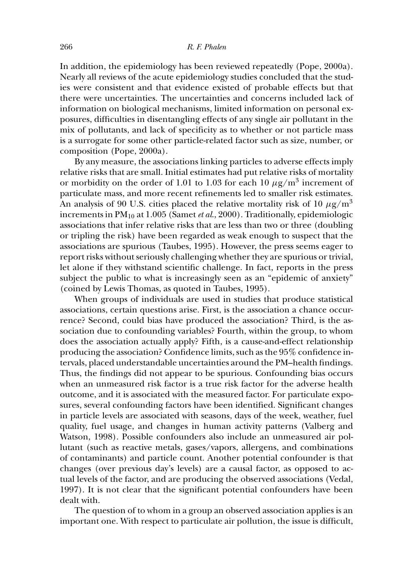#### 266 *R. F. Phalen*

In addition, the epidemiology has been reviewed repeatedly (Pope, 2000a). Nearly all reviews of the acute epidemiology studies concluded that the studies were consistent and that evidence existed of probable effects but that there were uncertainties. The uncertainties and concerns included lack of information on biological mechanisms, limited information on personal exposures, difficulties in disentangling effects of any single air pollutant in the mix of pollutants, and lack of specificity as to whether or not particle mass is a surrogate for some other particle-related factor such as size, number, or composition (Pope, 2000a).

By any measure, the associations linking particles to adverse effects imply relative risks that are small. Initial estimates had put relative risks of mortality or morbidity on the order of 1.01 to 1.03 for each 10  $\mu$ g/m<sup>3</sup> increment of particulate mass, and more recent refinements led to smaller risk estimates. An analysis of 90 U.S. cities placed the relative mortality risk of 10  $\mu$ g/m<sup>3</sup> increments in PM10 at 1.005 (Samet *et al*., 2000). Traditionally, epidemiologic associations that infer relative risks that are less than two or three (doubling or tripling the risk) have been regarded as weak enough to suspect that the associations are spurious (Taubes, 1995). However, the press seems eager to report risks without seriously challenging whether they are spurious or trivial, let alone if they withstand scientific challenge. In fact, reports in the press subject the public to what is increasingly seen as an "epidemic of anxiety" (coined by Lewis Thomas, as quoted in Taubes, 1995).

When groups of individuals are used in studies that produce statistical associations, certain questions arise. First, is the association a chance occurrence? Second, could bias have produced the association? Third, is the association due to confounding variables? Fourth, within the group, to whom does the association actually apply? Fifth, is a cause-and-effect relationship producing the association? Confidence limits, such as the 95% confidence intervals, placed understandable uncertainties around the PM–health findings. Thus, the findings did not appear to be spurious. Confounding bias occurs when an unmeasured risk factor is a true risk factor for the adverse health outcome, and it is associated with the measured factor. For particulate exposures, several confounding factors have been identified. Significant changes in particle levels are associated with seasons, days of the week, weather, fuel quality, fuel usage, and changes in human activity patterns (Valberg and Watson, 1998). Possible confounders also include an unmeasured air pollutant (such as reactive metals, gases/vapors, allergens, and combinations of contaminants) and particle count. Another potential confounder is that changes (over previous day's levels) are a causal factor, as opposed to actual levels of the factor, and are producing the observed associations (Vedal, 1997). It is not clear that the significant potential confounders have been dealt with.

The question of to whom in a group an observed association applies is an important one. With respect to particulate air pollution, the issue is difficult,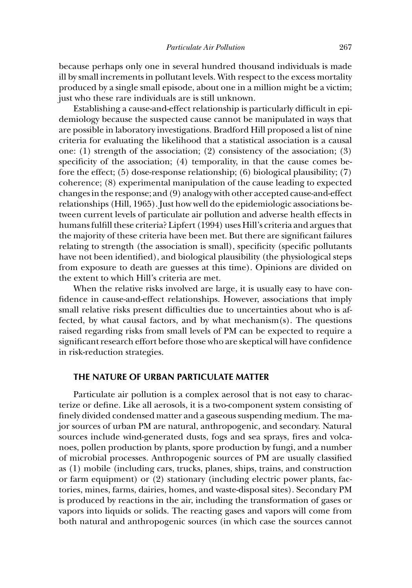because perhaps only one in several hundred thousand individuals is made ill by small increments in pollutant levels. With respect to the excess mortality produced by a single small episode, about one in a million might be a victim; just who these rare individuals are is still unknown.

Establishing a cause-and-effect relationship is particularly difficult in epidemiology because the suspected cause cannot be manipulated in ways that are possible in laboratory investigations. Bradford Hill proposed a list of nine criteria for evaluating the likelihood that a statistical association is a causal one: (1) strength of the association; (2) consistency of the association; (3) specificity of the association; (4) temporality, in that the cause comes before the effect; (5) dose-response relationship; (6) biological plausibility; (7) coherence; (8) experimental manipulation of the cause leading to expected changes in the response; and (9) analogy with other accepted cause-and-effect relationships (Hill, 1965). Just how well do the epidemiologic associations between current levels of particulate air pollution and adverse health effects in humans fulfill these criteria? Lipfert (1994) uses Hill's criteria and argues that the majority of these criteria have been met. But there are significant failures relating to strength (the association is small), specificity (specific pollutants have not been identified), and biological plausibility (the physiological steps from exposure to death are guesses at this time). Opinions are divided on the extent to which Hill's criteria are met.

When the relative risks involved are large, it is usually easy to have confidence in cause-and-effect relationships. However, associations that imply small relative risks present difficulties due to uncertainties about who is affected, by what causal factors, and by what mechanism(s). The questions raised regarding risks from small levels of PM can be expected to require a significant research effort before those who are skeptical will have confidence in risk-reduction strategies.

# **THE NATURE OF URBAN PARTICULATE MATTER**

Particulate air pollution is a complex aerosol that is not easy to characterize or define. Like all aerosols, it is a two-component system consisting of finely divided condensed matter and a gaseous suspending medium. The major sources of urban PM are natural, anthropogenic, and secondary. Natural sources include wind-generated dusts, fogs and sea sprays, fires and volcanoes, pollen production by plants, spore production by fungi, and a number of microbial processes. Anthropogenic sources of PM are usually classified as (1) mobile (including cars, trucks, planes, ships, trains, and construction or farm equipment) or (2) stationary (including electric power plants, factories, mines, farms, dairies, homes, and waste-disposal sites). Secondary PM is produced by reactions in the air, including the transformation of gases or vapors into liquids or solids. The reacting gases and vapors will come from both natural and anthropogenic sources (in which case the sources cannot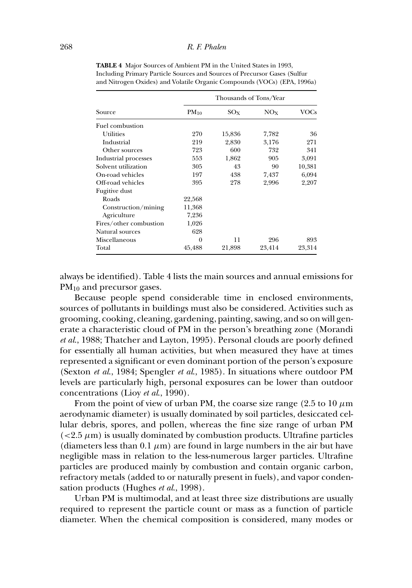|                        | Thousands of Tons/Year |          |                 |        |
|------------------------|------------------------|----------|-----------------|--------|
| Source                 | $PM_{10}$              | $SO_{X}$ | NO <sub>X</sub> | VOCs   |
| Fuel combustion        |                        |          |                 |        |
| Utilities              | 270                    | 15,836   | 7,782           | 36     |
| Industrial             | 219                    | 2,830    | 3,176           | 271    |
| Other sources          | 723                    | 600      | 732             | 341    |
| Industrial processes   | 553                    | 1,862    | 905             | 3,091  |
| Solvent utilization    | 305                    | 43       | 90              | 10,381 |
| On-road vehicles       | 197                    | 438      | 7,437           | 6,094  |
| Off-road vehicles      | 395                    | 278      | 2,996           | 2,207  |
| Fugitive dust          |                        |          |                 |        |
| Roads                  | 22,568                 |          |                 |        |
| Construction/mining    | 11,368                 |          |                 |        |
| Agriculture            | 7,236                  |          |                 |        |
| Fires/other combustion | 1,026                  |          |                 |        |
| Natural sources        | 628                    |          |                 |        |
| Miscellaneous          | $\theta$               | 11       | 296             | 893    |
| Total                  | 45,488                 | 21,898   | 23,414          | 23,314 |

**TABLE 4** Major Sources of Ambient PM in the United States in 1993, Including Primary Particle Sources and Sources of Precursor Gases (Sulfur and Nitrogen Oxides) and Volatile Organic Compounds (VOCs) (EPA, 1996a)

always be identified). Table 4 lists the main sources and annual emissions for PM<sub>10</sub> and precursor gases.

Because people spend considerable time in enclosed environments, sources of pollutants in buildings must also be considered. Activities such as grooming, cooking, cleaning, gardening, painting, sawing, and so on will generate a characteristic cloud of PM in the person's breathing zone (Morandi *et al*., 1988; Thatcher and Layton, 1995). Personal clouds are poorly defined for essentially all human activities, but when measured they have at times represented a significant or even dominant portion of the person's exposure (Sexton *et al*., 1984; Spengler *et al*., 1985). In situations where outdoor PM levels are particularly high, personal exposures can be lower than outdoor concentrations (Lioy *et al*., 1990).

From the point of view of urban PM, the coarse size range (2.5 to 10  $\mu$ m) aerodynamic diameter) is usually dominated by soil particles, desiccated cellular debris, spores, and pollen, whereas the fine size range of urban PM  $\left($  <2.5  $\mu$ m) is usually dominated by combustion products. Ultrafine particles (diameters less than  $0.1 \mu m$ ) are found in large numbers in the air but have negligible mass in relation to the less-numerous larger particles. Ultrafine particles are produced mainly by combustion and contain organic carbon, refractory metals (added to or naturally present in fuels), and vapor condensation products (Hughes *et al*., 1998).

Urban PM is multimodal, and at least three size distributions are usually required to represent the particle count or mass as a function of particle diameter. When the chemical composition is considered, many modes or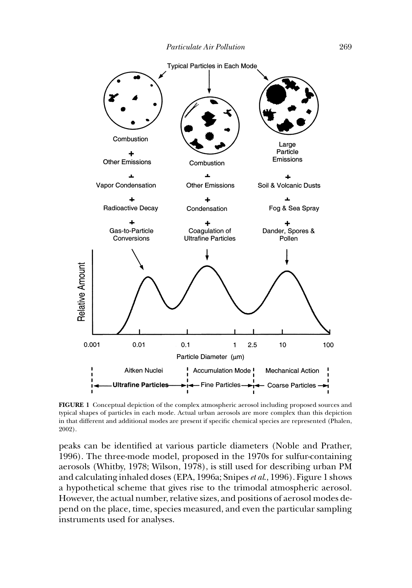

**FIGURE 1** Conceptual depiction of the complex atmospheric aerosol including proposed sources and typical shapes of particles in each mode. Actual urban aerosols are more complex than this depiction in that different and additional modes are present if specific chemical species are represented (Phalen, 2002).

peaks can be identified at various particle diameters (Noble and Prather, 1996). The three-mode model, proposed in the 1970s for sulfur-containing aerosols (Whitby, 1978; Wilson, 1978), is still used for describing urban PM and calculating inhaled doses (EPA, 1996a; Snipes*et al*., 1996). Figure 1 shows a hypothetical scheme that gives rise to the trimodal atmospheric aerosol. However, the actual number, relative sizes, and positions of aerosol modes depend on the place, time, species measured, and even the particular sampling instruments used for analyses.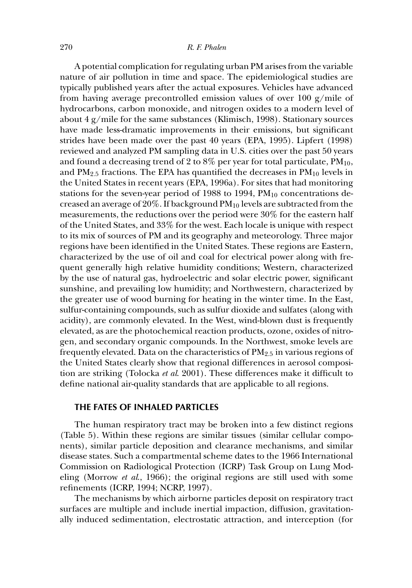A potential complication for regulating urban PM arises from the variable nature of air pollution in time and space. The epidemiological studies are typically published years after the actual exposures. Vehicles have advanced from having average precontrolled emission values of over 100  $g/mile$  of hydrocarbons, carbon monoxide, and nitrogen oxides to a modern level of about 4 g/mile for the same substances (Klimisch, 1998). Stationary sources have made less-dramatic improvements in their emissions, but significant strides have been made over the past 40 years (EPA, 1995). Lipfert (1998) reviewed and analyzed PM sampling data in U.S. cities over the past 50 years and found a decreasing trend of 2 to 8% per year for total particulate,  $PM_{10}$ , and  $PM_{2.5}$  fractions. The EPA has quantified the decreases in  $PM_{10}$  levels in the United States in recent years (EPA, 1996a). For sites that had monitoring stations for the seven-year period of 1988 to 1994,  $PM_{10}$  concentrations decreased an average of  $20\%$ . If background  $PM_{10}$  levels are subtracted from the measurements, the reductions over the period were 30% for the eastern half of the United States, and 33% for the west. Each locale is unique with respect to its mix of sources of PM and its geography and meteorology. Three major regions have been identified in the United States. These regions are Eastern, characterized by the use of oil and coal for electrical power along with frequent generally high relative humidity conditions; Western, characterized by the use of natural gas, hydroelectric and solar electric power, significant sunshine, and prevailing low humidity; and Northwestern, characterized by the greater use of wood burning for heating in the winter time. In the East, sulfur-containing compounds, such as sulfur dioxide and sulfates (along with acidity), are commonly elevated. In the West, wind-blown dust is frequently elevated, as are the photochemical reaction products, ozone, oxides of nitrogen, and secondary organic compounds. In the Northwest, smoke levels are frequently elevated. Data on the characteristics of  $PM_{2.5}$  in various regions of the United States clearly show that regional differences in aerosol composition are striking (Tolocka *et al*. 2001). These differences make it difficult to define national air-quality standards that are applicable to all regions.

### **THE FATES OF INHALED PARTICLES**

The human respiratory tract may be broken into a few distinct regions (Table 5). Within these regions are similar tissues (similar cellular components), similar particle deposition and clearance mechanisms, and similar disease states. Such a compartmental scheme dates to the 1966 International Commission on Radiological Protection (ICRP) Task Group on Lung Modeling (Morrow *et al*., 1966); the original regions are still used with some refinements (ICRP, 1994; NCRP, 1997).

The mechanisms by which airborne particles deposit on respiratory tract surfaces are multiple and include inertial impaction, diffusion, gravitationally induced sedimentation, electrostatic attraction, and interception (for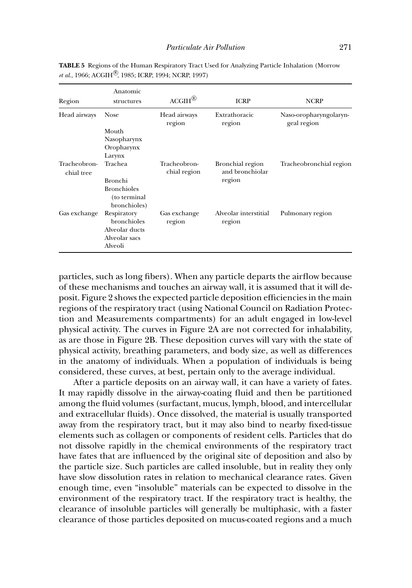| Region                     | Anatomic<br>structures                                                                   | $ACGIH^{\circledR}$          | <b>ICRP</b>                                   | <b>NCRP</b>                           |
|----------------------------|------------------------------------------------------------------------------------------|------------------------------|-----------------------------------------------|---------------------------------------|
| Head airways               | <b>Nose</b><br>Mouth<br>Nasopharynx<br>Oropharynx<br>Larynx                              | Head airways<br>region       | Extrathoracic<br>region                       | Naso-oropharyngolaryn-<br>geal region |
| Tracheobron-<br>chial tree | Trachea<br><b>Bronchi</b><br><b>Bronchioles</b><br>(to terminal                          | Tracheobron-<br>chial region | Bronchial region<br>and bronchiolar<br>region | Tracheobronchial region               |
| Gas exchange               | bronchioles)<br>Respiratory<br>bronchioles<br>Alveolar ducts<br>Alveolar sacs<br>Alveoli | Gas exchange<br>region       | Alveolar interstitial<br>region               | Pulmonary region                      |

**TABLE 5** Regions of the Human Respiratory Tract Used for Analyzing Particle Inhalation (Morrow *et al.*, 1966; ACGIH<sup>(8)</sup>, 1985; ICRP, 1994; NCRP, 1997)

particles, such as long fibers). When any particle departs the airflow because of these mechanisms and touches an airway wall, it is assumed that it will deposit. Figure 2 shows the expected particle deposition efficiencies in the main regions of the respiratory tract (using National Council on Radiation Protection and Measurements compartments) for an adult engaged in low-level physical activity. The curves in Figure 2A are not corrected for inhalability, as are those in Figure 2B. These deposition curves will vary with the state of physical activity, breathing parameters, and body size, as well as differences in the anatomy of individuals. When a population of individuals is being considered, these curves, at best, pertain only to the average individual.

After a particle deposits on an airway wall, it can have a variety of fates. It may rapidly dissolve in the airway-coating fluid and then be partitioned among the fluid volumes (surfactant, mucus, lymph, blood, and intercellular and extracellular fluids). Once dissolved, the material is usually transported away from the respiratory tract, but it may also bind to nearby fixed-tissue elements such as collagen or components of resident cells. Particles that do not dissolve rapidly in the chemical environments of the respiratory tract have fates that are influenced by the original site of deposition and also by the particle size. Such particles are called insoluble, but in reality they only have slow dissolution rates in relation to mechanical clearance rates. Given enough time, even "insoluble" materials can be expected to dissolve in the environment of the respiratory tract. If the respiratory tract is healthy, the clearance of insoluble particles will generally be multiphasic, with a faster clearance of those particles deposited on mucus-coated regions and a much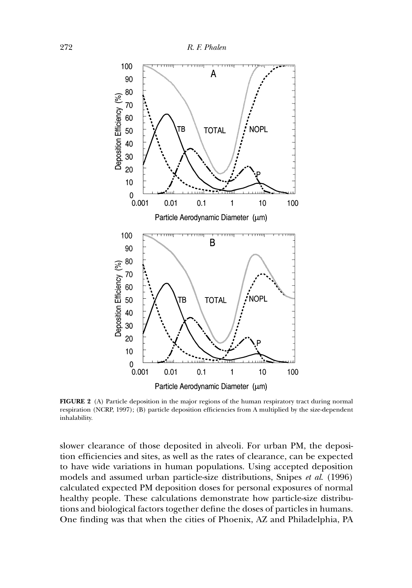

**FIGURE 2** (A) Particle deposition in the major regions of the human respiratory tract during normal respiration (NCRP, 1997); (B) particle deposition efficiencies from A multiplied by the size-dependent inhalability.

slower clearance of those deposited in alveoli. For urban PM, the deposition efficiencies and sites, as well as the rates of clearance, can be expected to have wide variations in human populations. Using accepted deposition models and assumed urban particle-size distributions, Snipes *et al*. (1996) calculated expected PM deposition doses for personal exposures of normal healthy people. These calculations demonstrate how particle-size distributions and biological factors together define the doses of particles in humans. One finding was that when the cities of Phoenix, AZ and Philadelphia, PA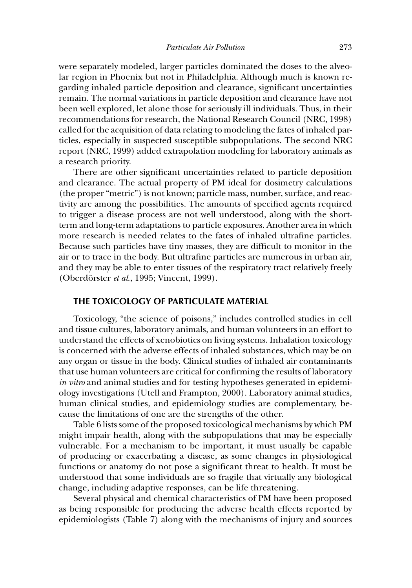were separately modeled, larger particles dominated the doses to the alveolar region in Phoenix but not in Philadelphia. Although much is known regarding inhaled particle deposition and clearance, significant uncertainties remain. The normal variations in particle deposition and clearance have not been well explored, let alone those for seriously ill individuals. Thus, in their recommendations for research, the National Research Council (NRC, 1998) called for the acquisition of data relating to modeling the fates of inhaled particles, especially in suspected susceptible subpopulations. The second NRC report (NRC, 1999) added extrapolation modeling for laboratory animals as a research priority.

There are other significant uncertainties related to particle deposition and clearance. The actual property of PM ideal for dosimetry calculations (the proper "metric") is not known; particle mass, number, surface, and reactivity are among the possibilities. The amounts of specified agents required to trigger a disease process are not well understood, along with the shortterm and long-term adaptations to particle exposures. Another area in which more research is needed relates to the fates of inhaled ultrafine particles. Because such particles have tiny masses, they are difficult to monitor in the air or to trace in the body. But ultrafine particles are numerous in urban air, and they may be able to enter tissues of the respiratory tract relatively freely (Oberdörster *et al.*, 1995; Vincent, 1999).

#### **THE TOXICOLOGY OF PARTICULATE MATERIAL**

Toxicology, "the science of poisons," includes controlled studies in cell and tissue cultures, laboratory animals, and human volunteers in an effort to understand the effects of xenobiotics on living systems. Inhalation toxicology is concerned with the adverse effects of inhaled substances, which may be on any organ or tissue in the body. Clinical studies of inhaled air contaminants that use human volunteers are critical for confirming the results of laboratory *in vitro* and animal studies and for testing hypotheses generated in epidemiology investigations (Utell and Frampton, 2000). Laboratory animal studies, human clinical studies, and epidemiology studies are complementary, because the limitations of one are the strengths of the other.

Table 6 lists some of the proposed toxicological mechanisms by which PM might impair health, along with the subpopulations that may be especially vulnerable. For a mechanism to be important, it must usually be capable of producing or exacerbating a disease, as some changes in physiological functions or anatomy do not pose a significant threat to health. It must be understood that some individuals are so fragile that virtually any biological change, including adaptive responses, can be life threatening.

Several physical and chemical characteristics of PM have been proposed as being responsible for producing the adverse health effects reported by epidemiologists (Table 7) along with the mechanisms of injury and sources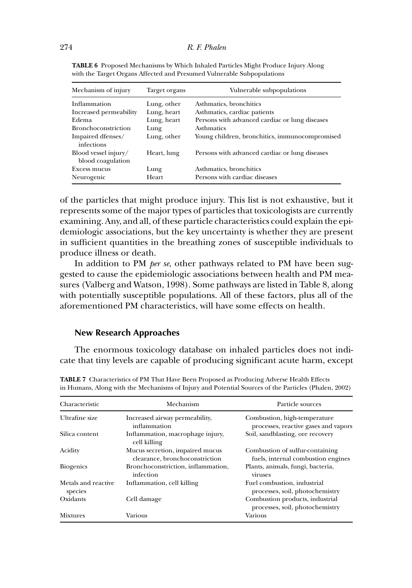| Mechanism of injury                       | Target organs | Vulnerable subpopulations                      |
|-------------------------------------------|---------------|------------------------------------------------|
| Inflammation                              | Lung, other   | Asthmatics, bronchitics                        |
| Increased permeability                    | Lung, heart   | Asthmatics, cardiac patients                   |
| Edema                                     | Lung, heart   | Persons with advanced cardiac or lung diseases |
| Bronchoconstriction                       | Lung          | <b>Asthmatics</b>                              |
| Impaired dfenses/<br>infections           | Lung, other   | Young children, bronchitics, immunocompromised |
| Blood vessel injury/<br>blood coagulation | Heart, lung   | Persons with advanced cardiac or lung diseases |
| Excess mucus                              | Lung          | Asthmatics, bronchitics                        |
| Neurogenic                                | Heart         | Persons with cardiac diseases                  |

**TABLE 6** Proposed Mechanisms by Which Inhaled Particles Might Produce Injury Along with the Target Organs Affected and Presumed Vulnerable Subpopulations

of the particles that might produce injury. This list is not exhaustive, but it represents some of the major types of particles that toxicologists are currently examining. Any, and all, of these particle characteristics could explain the epidemiologic associations, but the key uncertainty is whether they are present in sufficient quantities in the breathing zones of susceptible individuals to produce illness or death.

In addition to PM *per se*, other pathways related to PM have been suggested to cause the epidemiologic associations between health and PM measures (Valberg and Watson, 1998). Some pathways are listed in Table 8, along with potentially susceptible populations. All of these factors, plus all of the aforementioned PM characteristics, will have some effects on health.

# **New Research Approaches**

The enormous toxicology database on inhaled particles does not indicate that tiny levels are capable of producing significant acute harm, except

| Characteristic                 | Mechanism                                                         | Particle sources                                                      |
|--------------------------------|-------------------------------------------------------------------|-----------------------------------------------------------------------|
| Ultrafine size                 | Increased airway permeability,<br>inflammation                    | Combustion, high-temperature<br>processes, reactive gases and vapors  |
| Silica content                 | Inflammation, macrophage injury,<br>cell killing                  | Soil, sandblasting, ore recovery                                      |
| Acidity                        | Mucus secretion, impaired mucus<br>clearance, bronchoconstriction | Combustion of sulfur-containing<br>fuels, internal combustion engines |
| <b>Biogenics</b>               | Bronchoconstriction, inflammation,<br>infection                   | Plants, animals, fungi, bacteria,<br>viruses                          |
| Metals and reactive<br>species | Inflammation, cell killing                                        | Fuel combustion, industrial<br>processes, soil, photochemistry        |
| Oxidants                       | Cell damage                                                       | Combustion products, industrial<br>processes, soil, photochemistry    |
| <b>Mixtures</b>                | Various                                                           | Various                                                               |

**TABLE 7** Characteristics of PM That Have Been Proposed as Producing Adverse Health Effects in Humans, Along with the Mechanisms of Injury and Potential Sources of the Particles (Phalen, 2002)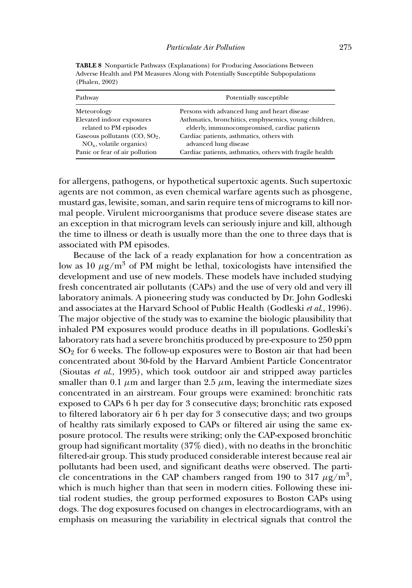| Pathway                          | Potentially susceptible                                  |
|----------------------------------|----------------------------------------------------------|
| Meteorology                      | Persons with advanced lung and heart disease             |
| Elevated indoor exposures        | Asthmatics, bronchitics, emphysemics, young children,    |
| related to PM episodes           | elderly, immunocompromised, cardiac patients             |
| Gaseous pollutants $(CO, SO2)$ , | Cardiac patients, asthmatics, others with                |
| $NOx$ , volatile organics)       | advanced lung disease                                    |
| Panic or fear of air pollution   | Cardiac patients, asthmatics, others with fragile health |

**TABLE 8** Nonparticle Pathways (Explanations) for Producing Associations Between Adverse Health and PM Measures Along with Potentially Susceptible Subpopulations (Phalen, 2002)

for allergens, pathogens, or hypothetical supertoxic agents. Such supertoxic agents are not common, as even chemical warfare agents such as phosgene, mustard gas, lewisite, soman, and sarin require tens of micrograms to kill normal people. Virulent microorganisms that produce severe disease states are an exception in that microgram levels can seriously injure and kill, although the time to illness or death is usually more than the one to three days that is associated with PM episodes.

Because of the lack of a ready explanation for how a concentration as low as 10  $\mu$ g/m<sup>3</sup> of PM might be lethal, toxicologists have intensified the development and use of new models. These models have included studying fresh concentrated air pollutants (CAPs) and the use of very old and very ill laboratory animals. A pioneering study was conducted by Dr. John Godleski and associates at the Harvard School of Public Health (Godleski *et al*., 1996). The major objective of the study was to examine the biologic plausibility that inhaled PM exposures would produce deaths in ill populations. Godleski's laboratory rats had a severe bronchitis produced by pre-exposure to 250 ppm  $SO<sub>2</sub>$  for 6 weeks. The follow-up exposures were to Boston air that had been concentrated about 30-fold by the Harvard Ambient Particle Concentrator (Sioutas *et al*., 1995), which took outdoor air and stripped away particles smaller than 0.1  $\mu$ m and larger than 2.5  $\mu$ m, leaving the intermediate sizes concentrated in an airstream. Four groups were examined: bronchitic rats exposed to CAPs 6 h per day for 3 consecutive days; bronchitic rats exposed to filtered laboratory air 6 h per day for 3 consecutive days; and two groups of healthy rats similarly exposed to CAPs or filtered air using the same exposure protocol. The results were striking; only the CAP-exposed bronchitic group had significant mortality (37% died), with no deaths in the bronchitic filtered-air group. This study produced considerable interest because real air pollutants had been used, and significant deaths were observed. The particle concentrations in the CAP chambers ranged from 190 to 317  $\mu$ g/m<sup>3</sup>, which is much higher than that seen in modern cities. Following these initial rodent studies, the group performed exposures to Boston CAPs using dogs. The dog exposures focused on changes in electrocardiograms, with an emphasis on measuring the variability in electrical signals that control the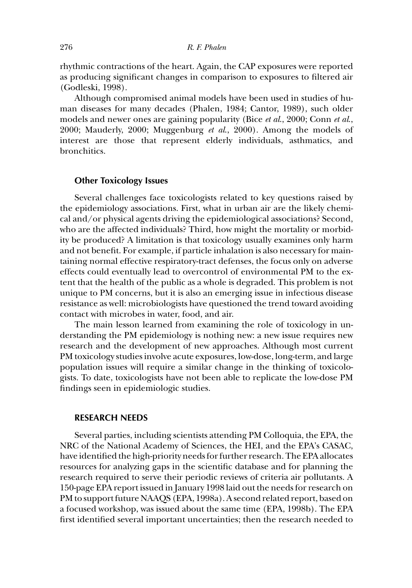rhythmic contractions of the heart. Again, the CAP exposures were reported as producing significant changes in comparison to exposures to filtered air (Godleski, 1998).

Although compromised animal models have been used in studies of human diseases for many decades (Phalen, 1984; Cantor, 1989), such older models and newer ones are gaining popularity (Bice *et al*., 2000; Conn *et al*., 2000; Mauderly, 2000; Muggenburg *et al*., 2000). Among the models of interest are those that represent elderly individuals, asthmatics, and bronchitics.

# **Other Toxicology Issues**

Several challenges face toxicologists related to key questions raised by the epidemiology associations. First, what in urban air are the likely chemical and/or physical agents driving the epidemiological associations? Second, who are the affected individuals? Third, how might the mortality or morbidity be produced? A limitation is that toxicology usually examines only harm and not benefit. For example, if particle inhalation is also necessary for maintaining normal effective respiratory-tract defenses, the focus only on adverse effects could eventually lead to overcontrol of environmental PM to the extent that the health of the public as a whole is degraded. This problem is not unique to PM concerns, but it is also an emerging issue in infectious disease resistance as well: microbiologists have questioned the trend toward avoiding contact with microbes in water, food, and air.

The main lesson learned from examining the role of toxicology in understanding the PM epidemiology is nothing new: a new issue requires new research and the development of new approaches. Although most current PM toxicology studies involve acute exposures, low-dose, long-term, and large population issues will require a similar change in the thinking of toxicologists. To date, toxicologists have not been able to replicate the low-dose PM findings seen in epidemiologic studies.

# **RESEARCH NEEDS**

Several parties, including scientists attending PM Colloquia, the EPA, the NRC of the National Academy of Sciences, the HEI, and the EPA's CASAC, have identified the high-priority needs for further research. The EPA allocates resources for analyzing gaps in the scientific database and for planning the research required to serve their periodic reviews of criteria air pollutants. A 150-page EPA report issued in January 1998 laid out the needs for research on PM to support future NAAQS (EPA, 1998a). A second related report, based on a focused workshop, was issued about the same time (EPA, 1998b). The EPA first identified several important uncertainties; then the research needed to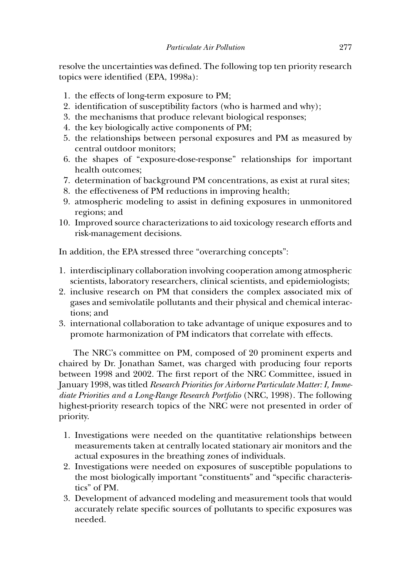resolve the uncertainties was defined. The following top ten priority research topics were identified (EPA, 1998a):

- 1. the effects of long-term exposure to PM;
- 2. identification of susceptibility factors (who is harmed and why);
- 3. the mechanisms that produce relevant biological responses;
- 4. the key biologically active components of PM;
- 5. the relationships between personal exposures and PM as measured by central outdoor monitors;
- 6. the shapes of "exposure-dose-response" relationships for important health outcomes;
- 7. determination of background PM concentrations, as exist at rural sites;
- 8. the effectiveness of PM reductions in improving health;
- 9. atmospheric modeling to assist in defining exposures in unmonitored regions; and
- 10. Improved source characterizations to aid toxicology research efforts and risk-management decisions.

In addition, the EPA stressed three "overarching concepts":

- 1. interdisciplinary collaboration involving cooperation among atmospheric scientists, laboratory researchers, clinical scientists, and epidemiologists;
- 2. inclusive research on PM that considers the complex associated mix of gases and semivolatile pollutants and their physical and chemical interactions; and
- 3. international collaboration to take advantage of unique exposures and to promote harmonization of PM indicators that correlate with effects.

The NRC's committee on PM, composed of 20 prominent experts and chaired by Dr. Jonathan Samet, was charged with producing four reports between 1998 and 2002. The first report of the NRC Committee, issued in January 1998, was titled *Research Priorities for Airborne Particulate Matter: I, Immediate Priorities and a Long-Range Research Portfolio* (NRC, 1998). The following highest-priority research topics of the NRC were not presented in order of priority.

- 1. Investigations were needed on the quantitative relationships between measurements taken at centrally located stationary air monitors and the actual exposures in the breathing zones of individuals.
- 2. Investigations were needed on exposures of susceptible populations to the most biologically important "constituents" and "specific characteristics" of PM.
- 3. Development of advanced modeling and measurement tools that would accurately relate specific sources of pollutants to specific exposures was needed.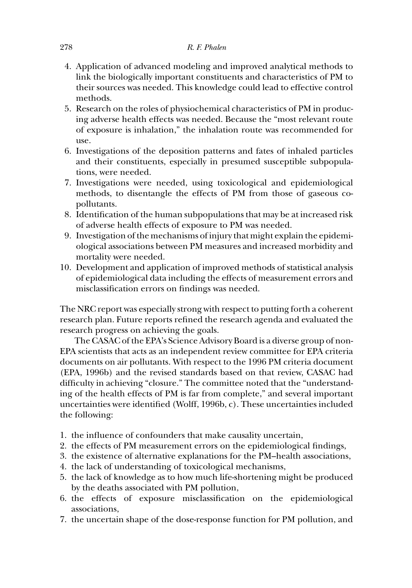- 4. Application of advanced modeling and improved analytical methods to link the biologically important constituents and characteristics of PM to their sources was needed. This knowledge could lead to effective control methods.
- 5. Research on the roles of physiochemical characteristics of PM in producing adverse health effects was needed. Because the "most relevant route of exposure is inhalation," the inhalation route was recommended for use.
- 6. Investigations of the deposition patterns and fates of inhaled particles and their constituents, especially in presumed susceptible subpopulations, were needed.
- 7. Investigations were needed, using toxicological and epidemiological methods, to disentangle the effects of PM from those of gaseous copollutants.
- 8. Identification of the human subpopulations that may be at increased risk of adverse health effects of exposure to PM was needed.
- 9. Investigation of the mechanisms of injury that might explain the epidemiological associations between PM measures and increased morbidity and mortality were needed.
- 10. Development and application of improved methods of statistical analysis of epidemiological data including the effects of measurement errors and misclassification errors on findings was needed.

The NRC report was especially strong with respect to putting forth a coherent research plan. Future reports refined the research agenda and evaluated the research progress on achieving the goals.

The CASAC of the EPA's Science Advisory Board is a diverse group of non-EPA scientists that acts as an independent review committee for EPA criteria documents on air pollutants. With respect to the 1996 PM criteria document (EPA, 1996b) and the revised standards based on that review, CASAC had difficulty in achieving "closure." The committee noted that the "understanding of the health effects of PM is far from complete," and several important uncertainties were identified (Wolff, 1996b, c). These uncertainties included the following:

- 1. the influence of confounders that make causality uncertain,
- 2. the effects of PM measurement errors on the epidemiological findings,
- 3. the existence of alternative explanations for the PM–health associations,
- 4. the lack of understanding of toxicological mechanisms,
- 5. the lack of knowledge as to how much life-shortening might be produced by the deaths associated with PM pollution,
- 6. the effects of exposure misclassification on the epidemiological associations,
- 7. the uncertain shape of the dose-response function for PM pollution, and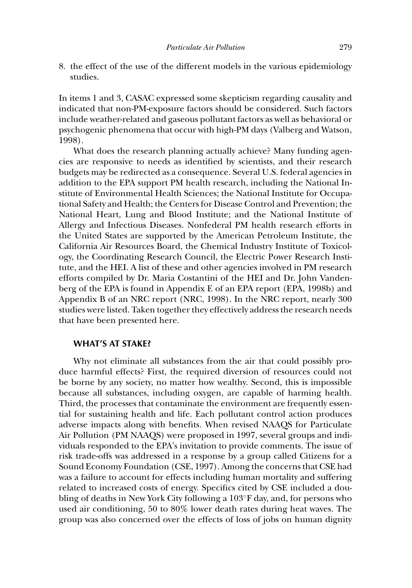8. the effect of the use of the different models in the various epidemiology studies.

In items 1 and 3, CASAC expressed some skepticism regarding causality and indicated that non-PM-exposure factors should be considered. Such factors include weather-related and gaseous pollutant factors as well as behavioral or psychogenic phenomena that occur with high-PM days (Valberg and Watson, 1998).

What does the research planning actually achieve? Many funding agencies are responsive to needs as identified by scientists, and their research budgets may be redirected as a consequence. Several U.S. federal agencies in addition to the EPA support PM health research, including the National Institute of Environmental Health Sciences; the National Institute for Occupational Safety and Health; the Centers for Disease Control and Prevention; the National Heart, Lung and Blood Institute; and the National Institute of Allergy and Infectious Diseases. Nonfederal PM health research efforts in the United States are supported by the American Petroleum Institute, the California Air Resources Board, the Chemical Industry Institute of Toxicology, the Coordinating Research Council, the Electric Power Research Institute, and the HEI. A list of these and other agencies involved in PM research efforts compiled by Dr. Maria Costantini of the HEI and Dr. John Vandenberg of the EPA is found in Appendix E of an EPA report (EPA, 1998b) and Appendix B of an NRC report (NRC, 1998). In the NRC report, nearly 300 studies were listed. Taken together they effectively address the research needs that have been presented here.

### **WHAT'S AT STAKE?**

Why not eliminate all substances from the air that could possibly produce harmful effects? First, the required diversion of resources could not be borne by any society, no matter how wealthy. Second, this is impossible because all substances, including oxygen, are capable of harming health. Third, the processes that contaminate the environment are frequently essential for sustaining health and life. Each pollutant control action produces adverse impacts along with benefits. When revised NAAQS for Particulate Air Pollution (PM NAAQS) were proposed in 1997, several groups and individuals responded to the EPA's invitation to provide comments. The issue of risk trade-offs was addressed in a response by a group called Citizens for a Sound Economy Foundation (CSE, 1997). Among the concerns that CSE had was a failure to account for effects including human mortality and suffering related to increased costs of energy. Specifics cited by CSE included a doubling of deaths in New York City following a 103◦F day, and, for persons who used air conditioning, 50 to 80% lower death rates during heat waves. The group was also concerned over the effects of loss of jobs on human dignity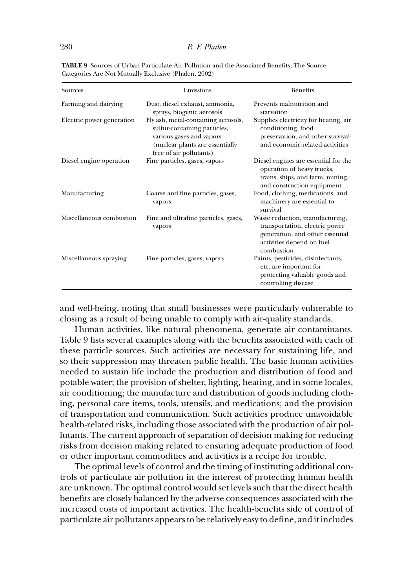| Sources                   | Emissions                                                                                                                                                     | <b>Benefits</b>                                                                                                                                 |
|---------------------------|---------------------------------------------------------------------------------------------------------------------------------------------------------------|-------------------------------------------------------------------------------------------------------------------------------------------------|
| Farming and dairying      | Dust, diesel exhaust, ammonia,<br>sprays, biogenic aerosols                                                                                                   | Prevents malnutrition and<br>starvation                                                                                                         |
| Electric power generation | Fly ash, metal-containing aerosols,<br>sulfur-containing particles,<br>various gases and vapors<br>(nuclear plants are essentially<br>free of air pollutants) | Supplies electricity for heating, air<br>conditioning, food<br>preservation, and other survival-<br>and economic-related activities             |
| Diesel engine operation   | Fine particles, gases, vapors                                                                                                                                 | Diesel engines are essential for the<br>operation of heavy trucks,<br>trains, ships, and farm, mining,<br>and construction equipment            |
| Manufacturing             | Coarse and fine particles, gases,<br>vapors                                                                                                                   | Food, clothing, medications, and<br>machinery are essential to<br>survival                                                                      |
| Miscellaneous combustion  | Fine and ultrafine particles, gases,<br>vapors                                                                                                                | Waste reduction, manufacturing,<br>transportation, electric power<br>generation, and other essential<br>activities depend on fuel<br>combustion |
| Miscellaneous spraying    | Fine particles, gases, vapors                                                                                                                                 | Paints, pesticides, disinfectants,<br>etc. are important for<br>protecting valuable goods and<br>controlling disease                            |

**TABLE 9** Sources of Urban Particulate Air Pollution and the Associated Benefits; The Source Categories Are Not Mutually Exclusive (Phalen, 2002)

and well-being, noting that small businesses were particularly vulnerable to closing as a result of being unable to comply with air-quality standards.

Human activities, like natural phenomena, generate air contaminants. Table 9 lists several examples along with the benefits associated with each of these particle sources. Such activities are necessary for sustaining life, and so their suppression may threaten public health. The basic human activities needed to sustain life include the production and distribution of food and potable water; the provision of shelter, lighting, heating, and in some locales, air conditioning; the manufacture and distribution of goods including clothing, personal care items, tools, utensils, and medications; and the provision of transportation and communication. Such activities produce unavoidable health-related risks, including those associated with the production of air pollutants. The current approach of separation of decision making for reducing risks from decision making related to ensuring adequate production of food or other important commodities and activities is a recipe for trouble.

The optimal levels of control and the timing of instituting additional controls of particulate air pollution in the interest of protecting human health are unknown. The optimal control would set levels such that the direct health benefits are closely balanced by the adverse consequences associated with the increased costs of important activities. The health-benefits side of control of particulate air pollutants appears to be relatively easy to define, and it includes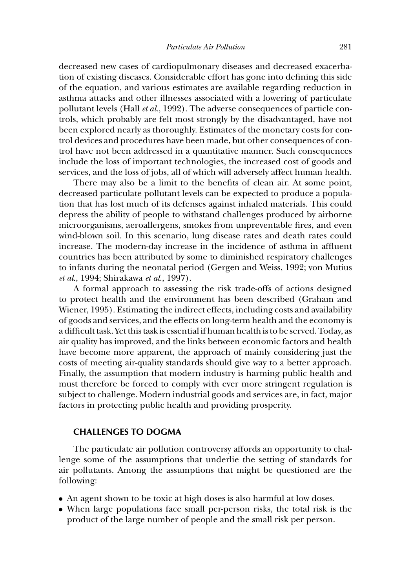decreased new cases of cardiopulmonary diseases and decreased exacerbation of existing diseases. Considerable effort has gone into defining this side of the equation, and various estimates are available regarding reduction in asthma attacks and other illnesses associated with a lowering of particulate pollutant levels (Hall *et al*., 1992). The adverse consequences of particle controls, which probably are felt most strongly by the disadvantaged, have not been explored nearly as thoroughly. Estimates of the monetary costs for control devices and procedures have been made, but other consequences of control have not been addressed in a quantitative manner. Such consequences include the loss of important technologies, the increased cost of goods and services, and the loss of jobs, all of which will adversely affect human health.

There may also be a limit to the benefits of clean air. At some point, decreased particulate pollutant levels can be expected to produce a population that has lost much of its defenses against inhaled materials. This could depress the ability of people to withstand challenges produced by airborne microorganisms, aeroallergens, smokes from unpreventable fires, and even wind-blown soil. In this scenario, lung disease rates and death rates could increase. The modern-day increase in the incidence of asthma in affluent countries has been attributed by some to diminished respiratory challenges to infants during the neonatal period (Gergen and Weiss, 1992; von Mutius *et al*., 1994; Shirakawa *et al*., 1997).

A formal approach to assessing the risk trade-offs of actions designed to protect health and the environment has been described (Graham and Wiener, 1995). Estimating the indirect effects, including costs and availability of goods and services, and the effects on long-term health and the economy is a difficult task. Yet this task is essential if human health is to be served. Today, as air quality has improved, and the links between economic factors and health have become more apparent, the approach of mainly considering just the costs of meeting air-quality standards should give way to a better approach. Finally, the assumption that modern industry is harming public health and must therefore be forced to comply with ever more stringent regulation is subject to challenge. Modern industrial goods and services are, in fact, major factors in protecting public health and providing prosperity.

#### **CHALLENGES TO DOGMA**

The particulate air pollution controversy affords an opportunity to challenge some of the assumptions that underlie the setting of standards for air pollutants. Among the assumptions that might be questioned are the following:

- An agent shown to be toxic at high doses is also harmful at low doses.
- When large populations face small per-person risks, the total risk is the product of the large number of people and the small risk per person.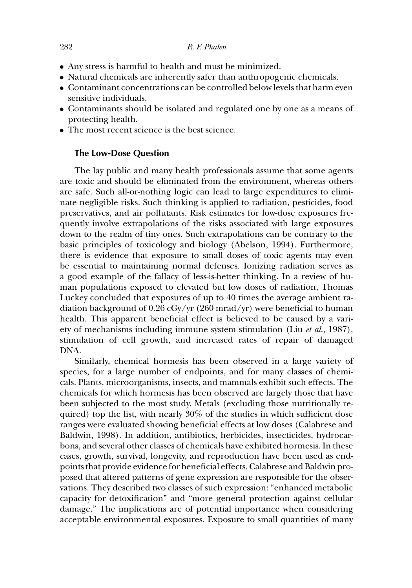- Any stress is harmful to health and must be minimized.
- Natural chemicals are inherently safer than anthropogenic chemicals.
- Contaminant concentrations can be controlled below levels that harm even sensitive individuals.
- Contaminants should be isolated and regulated one by one as a means of protecting health.
- The most recent science is the best science.

# **The Low-Dose Question**

The lay public and many health professionals assume that some agents are toxic and should be eliminated from the environment, whereas others are safe. Such all-or-nothing logic can lead to large expenditures to eliminate negligible risks. Such thinking is applied to radiation, pesticides, food preservatives, and air pollutants. Risk estimates for low-dose exposures frequently involve extrapolations of the risks associated with large exposures down to the realm of tiny ones. Such extrapolations can be contrary to the basic principles of toxicology and biology (Abelson, 1994). Furthermore, there is evidence that exposure to small doses of toxic agents may even be essential to maintaining normal defenses. Ionizing radiation serves as a good example of the fallacy of less-is-better thinking. In a review of human populations exposed to elevated but low doses of radiation, Thomas Luckey concluded that exposures of up to 40 times the average ambient radiation background of 0.26 cGy/yr (260 mrad/yr) were beneficial to human health. This apparent beneficial effect is believed to be caused by a variety of mechanisms including immune system stimulation (Liu *et al*., 1987), stimulation of cell growth, and increased rates of repair of damaged DNA.

Similarly, chemical hormesis has been observed in a large variety of species, for a large number of endpoints, and for many classes of chemicals. Plants, microorganisms, insects, and mammals exhibit such effects. The chemicals for which hormesis has been observed are largely those that have been subjected to the most study. Metals (excluding those nutritionally required) top the list, with nearly 30% of the studies in which sufficient dose ranges were evaluated showing beneficial effects at low doses (Calabrese and Baldwin, 1998). In addition, antibiotics, herbicides, insecticides, hydrocarbons, and several other classes of chemicals have exhibited hormesis. In these cases, growth, survival, longevity, and reproduction have been used as endpoints that provide evidence for beneficial effects. Calabrese and Baldwin proposed that altered patterns of gene expression are responsible for the observations. They described two classes of such expression: "enhanced metabolic capacity for detoxification" and "more general protection against cellular damage." The implications are of potential importance when considering acceptable environmental exposures. Exposure to small quantities of many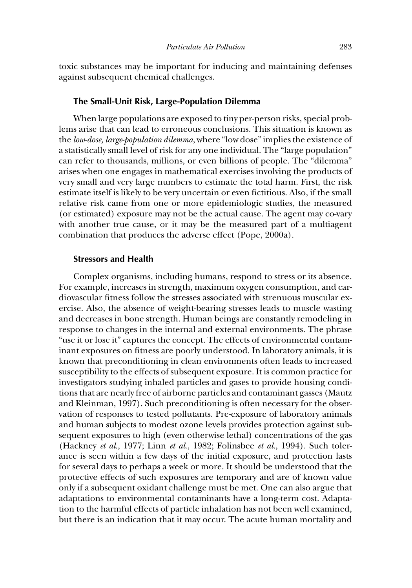toxic substances may be important for inducing and maintaining defenses against subsequent chemical challenges.

### **The Small-Unit Risk, Large-Population Dilemma**

When large populations are exposed to tiny per-person risks, special problems arise that can lead to erroneous conclusions. This situation is known as the *low-dose, large-population dilemma*, where "low dose" implies the existence of a statistically small level of risk for any one individual. The "large population" can refer to thousands, millions, or even billions of people. The "dilemma" arises when one engages in mathematical exercises involving the products of very small and very large numbers to estimate the total harm. First, the risk estimate itself is likely to be very uncertain or even fictitious. Also, if the small relative risk came from one or more epidemiologic studies, the measured (or estimated) exposure may not be the actual cause. The agent may co-vary with another true cause, or it may be the measured part of a multiagent combination that produces the adverse effect (Pope, 2000a).

#### **Stressors and Health**

Complex organisms, including humans, respond to stress or its absence. For example, increases in strength, maximum oxygen consumption, and cardiovascular fitness follow the stresses associated with strenuous muscular exercise. Also, the absence of weight-bearing stresses leads to muscle wasting and decreases in bone strength. Human beings are constantly remodeling in response to changes in the internal and external environments. The phrase "use it or lose it" captures the concept. The effects of environmental contaminant exposures on fitness are poorly understood. In laboratory animals, it is known that preconditioning in clean environments often leads to increased susceptibility to the effects of subsequent exposure. It is common practice for investigators studying inhaled particles and gases to provide housing conditions that are nearly free of airborne particles and contaminant gasses (Mautz and Kleinman, 1997). Such preconditioning is often necessary for the observation of responses to tested pollutants. Pre-exposure of laboratory animals and human subjects to modest ozone levels provides protection against subsequent exposures to high (even otherwise lethal) concentrations of the gas (Hackney *et al*., 1977; Linn *et al*., 1982; Folinsbee *et al*., 1994). Such tolerance is seen within a few days of the initial exposure, and protection lasts for several days to perhaps a week or more. It should be understood that the protective effects of such exposures are temporary and are of known value only if a subsequent oxidant challenge must be met. One can also argue that adaptations to environmental contaminants have a long-term cost. Adaptation to the harmful effects of particle inhalation has not been well examined, but there is an indication that it may occur. The acute human mortality and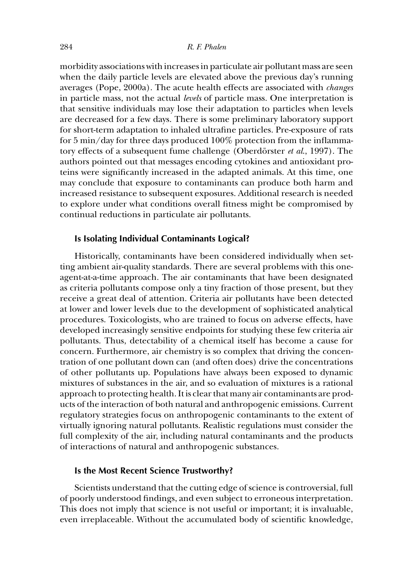morbidity associations with increases in particulate air pollutant mass are seen when the daily particle levels are elevated above the previous day's running averages (Pope, 2000a). The acute health effects are associated with *changes* in particle mass, not the actual *levels* of particle mass. One interpretation is that sensitive individuals may lose their adaptation to particles when levels are decreased for a few days. There is some preliminary laboratory support for short-term adaptation to inhaled ultrafine particles. Pre-exposure of rats for 5 min/day for three days produced 100% protection from the inflammatory effects of a subsequent fume challenge (Oberdörster *et al.*, 1997). The authors pointed out that messages encoding cytokines and antioxidant proteins were significantly increased in the adapted animals. At this time, one may conclude that exposure to contaminants can produce both harm and increased resistance to subsequent exposures. Additional research is needed to explore under what conditions overall fitness might be compromised by continual reductions in particulate air pollutants.

#### **Is Isolating Individual Contaminants Logical?**

Historically, contaminants have been considered individually when setting ambient air-quality standards. There are several problems with this oneagent-at-a-time approach. The air contaminants that have been designated as criteria pollutants compose only a tiny fraction of those present, but they receive a great deal of attention. Criteria air pollutants have been detected at lower and lower levels due to the development of sophisticated analytical procedures. Toxicologists, who are trained to focus on adverse effects, have developed increasingly sensitive endpoints for studying these few criteria air pollutants. Thus, detectability of a chemical itself has become a cause for concern. Furthermore, air chemistry is so complex that driving the concentration of one pollutant down can (and often does) drive the concentrations of other pollutants up. Populations have always been exposed to dynamic mixtures of substances in the air, and so evaluation of mixtures is a rational approach to protecting health. It is clear that many air contaminants are products of the interaction of both natural and anthropogenic emissions. Current regulatory strategies focus on anthropogenic contaminants to the extent of virtually ignoring natural pollutants. Realistic regulations must consider the full complexity of the air, including natural contaminants and the products of interactions of natural and anthropogenic substances.

#### **Is the Most Recent Science Trustworthy?**

Scientists understand that the cutting edge of science is controversial, full of poorly understood findings, and even subject to erroneous interpretation. This does not imply that science is not useful or important; it is invaluable, even irreplaceable. Without the accumulated body of scientific knowledge,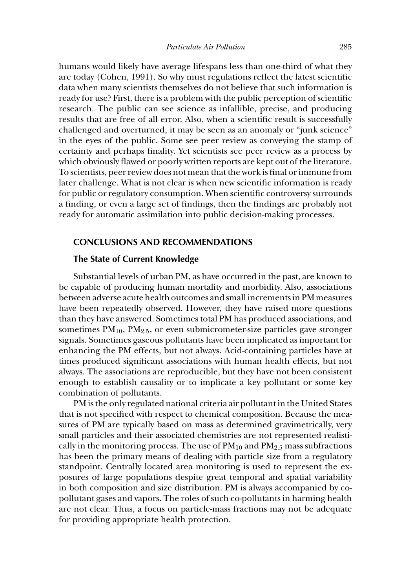humans would likely have average lifespans less than one-third of what they are today (Cohen, 1991). So why must regulations reflect the latest scientific data when many scientists themselves do not believe that such information is ready for use? First, there is a problem with the public perception of scientific research. The public can see science as infallible, precise, and producing results that are free of all error. Also, when a scientific result is successfully challenged and overturned, it may be seen as an anomaly or "junk science" in the eyes of the public. Some see peer review as conveying the stamp of certainty and perhaps finality. Yet scientists see peer review as a process by which obviously flawed or poorly written reports are kept out of the literature. To scientists, peer review does not mean that the work is final or immune from later challenge. What is not clear is when new scientific information is ready for public or regulatory consumption. When scientific controversy surrounds a finding, or even a large set of findings, then the findings are probably not ready for automatic assimilation into public decision-making processes.

# **CONCLUSIONS AND RECOMMENDATIONS**

# **The State of Current Knowledge**

Substantial levels of urban PM, as have occurred in the past, are known to be capable of producing human mortality and morbidity. Also, associations between adverse acute health outcomes and small increments in PM measures have been repeatedly observed. However, they have raised more questions than they have answered. Sometimes total PM has produced associations, and sometimes  $PM_{10}$ ,  $PM_{2.5}$ , or even submicrometer-size particles gave stronger signals. Sometimes gaseous pollutants have been implicated as important for enhancing the PM effects, but not always. Acid-containing particles have at times produced significant associations with human health effects, but not always. The associations are reproducible, but they have not been consistent enough to establish causality or to implicate a key pollutant or some key combination of pollutants.

PM is the only regulated national criteria air pollutant in the United States that is not specified with respect to chemical composition. Because the measures of PM are typically based on mass as determined gravimetrically, very small particles and their associated chemistries are not represented realistically in the monitoring process. The use of  $PM_{10}$  and  $PM_{2.5}$  mass subfractions has been the primary means of dealing with particle size from a regulatory standpoint. Centrally located area monitoring is used to represent the exposures of large populations despite great temporal and spatial variability in both composition and size distribution. PM is always accompanied by copollutant gases and vapors. The roles of such co-pollutants in harming health are not clear. Thus, a focus on particle-mass fractions may not be adequate for providing appropriate health protection.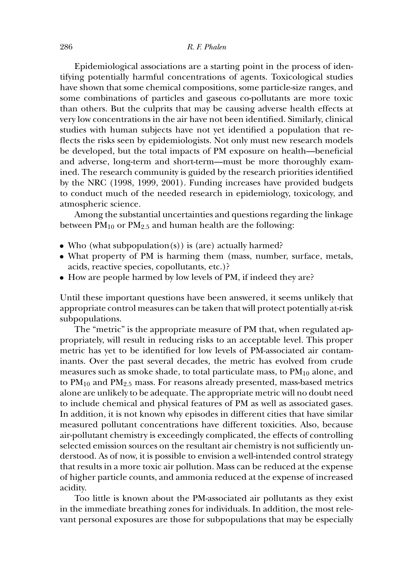Epidemiological associations are a starting point in the process of identifying potentially harmful concentrations of agents. Toxicological studies have shown that some chemical compositions, some particle-size ranges, and some combinations of particles and gaseous co-pollutants are more toxic than others. But the culprits that may be causing adverse health effects at very low concentrations in the air have not been identified. Similarly, clinical studies with human subjects have not yet identified a population that reflects the risks seen by epidemiologists. Not only must new research models be developed, but the total impacts of PM exposure on health—beneficial and adverse, long-term and short-term—must be more thoroughly examined. The research community is guided by the research priorities identified by the NRC (1998, 1999, 2001). Funding increases have provided budgets to conduct much of the needed research in epidemiology, toxicology, and atmospheric science.

Among the substantial uncertainties and questions regarding the linkage between  $PM_{10}$  or  $PM_{2.5}$  and human health are the following:

- Who (what subpopulation(s)) is (are) actually harmed?
- What property of PM is harming them (mass, number, surface, metals, acids, reactive species, copollutants, etc.)?
- How are people harmed by low levels of PM, if indeed they are?

Until these important questions have been answered, it seems unlikely that appropriate control measures can be taken that will protect potentially at-risk subpopulations.

The "metric" is the appropriate measure of PM that, when regulated appropriately, will result in reducing risks to an acceptable level. This proper metric has yet to be identified for low levels of PM-associated air contaminants. Over the past several decades, the metric has evolved from crude measures such as smoke shade, to total particulate mass, to  $PM_{10}$  alone, and to  $PM_{10}$  and  $PM_{2.5}$  mass. For reasons already presented, mass-based metrics alone are unlikely to be adequate. The appropriate metric will no doubt need to include chemical and physical features of PM as well as associated gases. In addition, it is not known why episodes in different cities that have similar measured pollutant concentrations have different toxicities. Also, because air-pollutant chemistry is exceedingly complicated, the effects of controlling selected emission sources on the resultant air chemistry is not sufficiently understood. As of now, it is possible to envision a well-intended control strategy that results in a more toxic air pollution. Mass can be reduced at the expense of higher particle counts, and ammonia reduced at the expense of increased acidity.

Too little is known about the PM-associated air pollutants as they exist in the immediate breathing zones for individuals. In addition, the most relevant personal exposures are those for subpopulations that may be especially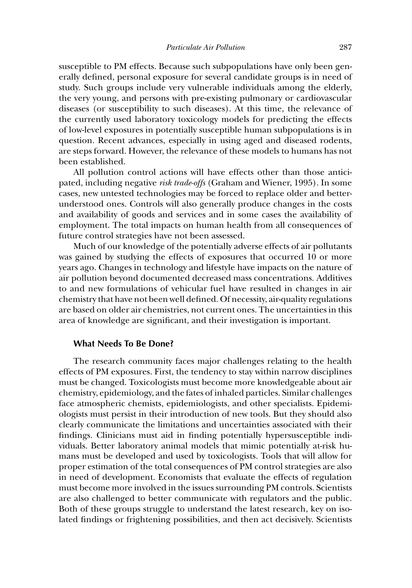susceptible to PM effects. Because such subpopulations have only been generally defined, personal exposure for several candidate groups is in need of study. Such groups include very vulnerable individuals among the elderly, the very young, and persons with pre-existing pulmonary or cardiovascular diseases (or susceptibility to such diseases). At this time, the relevance of the currently used laboratory toxicology models for predicting the effects of low-level exposures in potentially susceptible human subpopulations is in question. Recent advances, especially in using aged and diseased rodents, are steps forward. However, the relevance of these models to humans has not been established.

All pollution control actions will have effects other than those anticipated, including negative *risk trade-offs* (Graham and Wiener, 1995). In some cases, new untested technologies may be forced to replace older and betterunderstood ones. Controls will also generally produce changes in the costs and availability of goods and services and in some cases the availability of employment. The total impacts on human health from all consequences of future control strategies have not been assessed.

Much of our knowledge of the potentially adverse effects of air pollutants was gained by studying the effects of exposures that occurred 10 or more years ago. Changes in technology and lifestyle have impacts on the nature of air pollution beyond documented decreased mass concentrations. Additives to and new formulations of vehicular fuel have resulted in changes in air chemistry that have not been well defined. Of necessity, air-quality regulations are based on older air chemistries, not current ones. The uncertainties in this area of knowledge are significant, and their investigation is important.

#### **What Needs To Be Done?**

The research community faces major challenges relating to the health effects of PM exposures. First, the tendency to stay within narrow disciplines must be changed. Toxicologists must become more knowledgeable about air chemistry, epidemiology, and the fates of inhaled particles. Similar challenges face atmospheric chemists, epidemiologists, and other specialists. Epidemiologists must persist in their introduction of new tools. But they should also clearly communicate the limitations and uncertainties associated with their findings. Clinicians must aid in finding potentially hypersusceptible individuals. Better laboratory animal models that mimic potentially at-risk humans must be developed and used by toxicologists. Tools that will allow for proper estimation of the total consequences of PM control strategies are also in need of development. Economists that evaluate the effects of regulation must become more involved in the issues surrounding PM controls. Scientists are also challenged to better communicate with regulators and the public. Both of these groups struggle to understand the latest research, key on isolated findings or frightening possibilities, and then act decisively. Scientists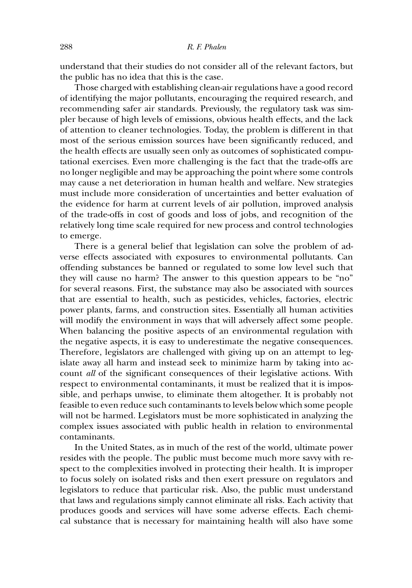understand that their studies do not consider all of the relevant factors, but the public has no idea that this is the case.

Those charged with establishing clean-air regulations have a good record of identifying the major pollutants, encouraging the required research, and recommending safer air standards. Previously, the regulatory task was simpler because of high levels of emissions, obvious health effects, and the lack of attention to cleaner technologies. Today, the problem is different in that most of the serious emission sources have been significantly reduced, and the health effects are usually seen only as outcomes of sophisticated computational exercises. Even more challenging is the fact that the trade-offs are no longer negligible and may be approaching the point where some controls may cause a net deterioration in human health and welfare. New strategies must include more consideration of uncertainties and better evaluation of the evidence for harm at current levels of air pollution, improved analysis of the trade-offs in cost of goods and loss of jobs, and recognition of the relatively long time scale required for new process and control technologies to emerge.

There is a general belief that legislation can solve the problem of adverse effects associated with exposures to environmental pollutants. Can offending substances be banned or regulated to some low level such that they will cause no harm? The answer to this question appears to be "no" for several reasons. First, the substance may also be associated with sources that are essential to health, such as pesticides, vehicles, factories, electric power plants, farms, and construction sites. Essentially all human activities will modify the environment in ways that will adversely affect some people. When balancing the positive aspects of an environmental regulation with the negative aspects, it is easy to underestimate the negative consequences. Therefore, legislators are challenged with giving up on an attempt to legislate away all harm and instead seek to minimize harm by taking into account *all* of the significant consequences of their legislative actions. With respect to environmental contaminants, it must be realized that it is impossible, and perhaps unwise, to eliminate them altogether. It is probably not feasible to even reduce such contaminants to levels below which some people will not be harmed. Legislators must be more sophisticated in analyzing the complex issues associated with public health in relation to environmental contaminants.

In the United States, as in much of the rest of the world, ultimate power resides with the people. The public must become much more savvy with respect to the complexities involved in protecting their health. It is improper to focus solely on isolated risks and then exert pressure on regulators and legislators to reduce that particular risk. Also, the public must understand that laws and regulations simply cannot eliminate all risks. Each activity that produces goods and services will have some adverse effects. Each chemical substance that is necessary for maintaining health will also have some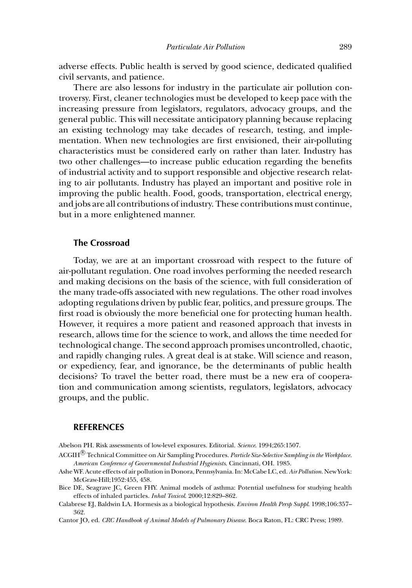adverse effects. Public health is served by good science, dedicated qualified civil servants, and patience.

There are also lessons for industry in the particulate air pollution controversy. First, cleaner technologies must be developed to keep pace with the increasing pressure from legislators, regulators, advocacy groups, and the general public. This will necessitate anticipatory planning because replacing an existing technology may take decades of research, testing, and implementation. When new technologies are first envisioned, their air-polluting characteristics must be considered early on rather than later. Industry has two other challenges—to increase public education regarding the benefits of industrial activity and to support responsible and objective research relating to air pollutants. Industry has played an important and positive role in improving the public health. Food, goods, transportation, electrical energy, and jobs are all contributions of industry. These contributions must continue, but in a more enlightened manner.

#### **The Crossroad**

Today, we are at an important crossroad with respect to the future of air-pollutant regulation. One road involves performing the needed research and making decisions on the basis of the science, with full consideration of the many trade-offs associated with new regulations. The other road involves adopting regulations driven by public fear, politics, and pressure groups. The first road is obviously the more beneficial one for protecting human health. However, it requires a more patient and reasoned approach that invests in research, allows time for the science to work, and allows the time needed for technological change. The second approach promises uncontrolled, chaotic, and rapidly changing rules. A great deal is at stake. Will science and reason, or expediency, fear, and ignorance, be the determinants of public health decisions? To travel the better road, there must be a new era of cooperation and communication among scientists, regulators, legislators, advocacy groups, and the public.

#### **REFERENCES**

Abelson PH. Risk assessments of low-level exposures. Editorial. *Science*. 1994;265:1507.

- ACGIH<sup>R</sup> Technical Committee on Air Sampling Procedures. *Particle Size-Selective Sampling in the Workplace. American Conference of Governmental Industrial Hygienists*. Cincinnati, OH. 1985.
- Ashe WF. Acute effects of air pollution in Donora, Pennsylvania. In: McCabe LC, ed.*Air Pollution*. New York: McGraw-Hill;1952:455, 458.
- Bice DE, Seagrave JC, Green FHY. Animal models of asthma: Potential usefulness for studying health effects of inhaled particles. *Inhal Toxicol*. 2000;12:829–862.
- Calabrese EJ, Baldwin LA. Hormesis as a biological hypothesis. *Environ Health Persp Suppl*. 1998;106:357– 362.

Cantor JO, ed. *CRC Handbook of Animal Models of Pulmonary Disease*. Boca Raton, FL: CRC Press; 1989.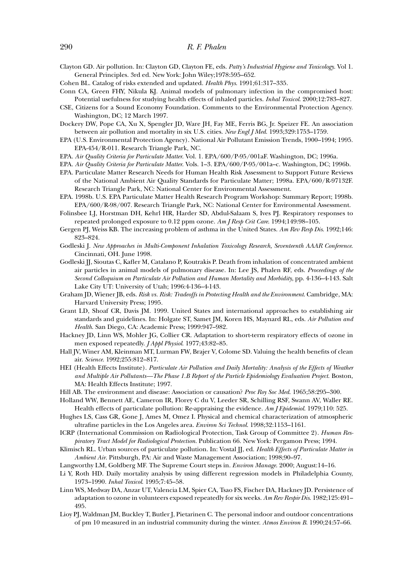Clayton GD. Air pollution. In: Clayton GD, Clayton FE, eds. *Patty's Industrial Hygiene and Toxicology*. Vol 1. General Principles. 3rd ed. New York: John Wiley;1978:595–652.

Cohen BL. Catalog of risks extended and updated. *Health Phys*. 1991;61:317–335.

Conn CA, Green FHY, Nikula KJ. Animal models of pulmonary infection in the compromised host: Potential usefulness for studying health effects of inhaled particles. *Inhal Toxicol*. 2000;12:783–827.

- CSE, Citizens for a Sound Economy Foundation. Comments to the Environmental Protection Agency. Washington, DC; 12 March 1997.
- Dockery DW, Pope CA, Xu X, Spengler JD, Ware JH, Fay ME, Ferris BG, Jr. Speizer FE. An association between air pollution and mortality in six U.S. cities. *New Engl J Med*. 1993;329:1753–1759.
- EPA (U.S. Environmental Protection Agency). National Air Pollutant Emission Trends, 1900–1994; 1995. EPA-454/R-011. Research Triangle Park, NC.
- EPA. *Air Quality Criteria for Particulate Matter*. Vol. 1. EPA/600/P-95/001aF. Washington, DC; 1996a.
- EPA. *Air Quality Criteria for Particulate Matter*. Vols. 1–3. EPA/600/P-95/001a–c. Washington, DC; 1996b.
- EPA. Particulate Matter Research Needs for Human Health Risk Assessment to Support Future Reviews of the National Ambient Air Quality Standards for Particulate Matter; 1998a. EPA/600/R-97132F. Research Triangle Park, NC: National Center for Environmental Assessment.
- EPA. 1998b. U.S. EPA Particulate Matter Health Research Program Workshop: Summary Report; 1998b. EPA/600/R-98/007. Research Triangle Park, NC: National Center for Environmental Assessment.

Folinsbee LJ, Horstman DH, Kehrl HR, Harder SD, Abdul-Salaam S, Ives PJ. Respiratory responses to repeated prolonged exposure to 0.12 ppm ozone. *Am J Resp Crit Care*. 1994;149:98–105.

- Gergen PJ, Weiss KB. The increasing problem of asthma in the United States. *Am Rev Resp Dis*. 1992;146: 823–824.
- Godleski J. *New Approaches in Multi-Component Inhalation Toxicology Research, Seventeenth AAAR Conference*. Cincinnati, OH. June 1998.
- Godleski JJ, Sioutas C, Kafler M, Catalano P, Koutrakis P. Death from inhalation of concentrated ambient air particles in animal models of pulmonary disease. In: Lee JS, Phalen RF, eds. *Proceedings of the Second Colloquium on Particulate Air Pollution and Human Mortality and Morbidity*, pp. 4-136–4-143. Salt Lake City UT: University of Utah; 1996:4-136–4-143.
- Graham JD, Wiener JB, eds. *Risk vs. Risk: Tradeoffs in Protecting Health and the Environment*. Cambridge, MA: Harvard University Press; 1995.
- Grant LD, Shoaf CR, Davis JM. 1999. United States and international approaches to establishing air standards and guidelines. In: Holgate ST, Samet JM, Koren HS, Maynard RL, eds. *Air Pollution and Health*. San Diego, CA: Academic Press; 1999:947–982.
- Hackney JD, Linn WS, Mohler JG, Collier CR. Adaptation to short-term respiratory effects of ozone in men exposed repeatedly. *J Appl Physiol*. 1977;43:82–85.
- Hall JV, Winer AM, Kleinman MT, Lurman FW, Brajer V, Colome SD. Valuing the health benefits of clean air. *Science*. 1992;255:812–817.
- HEI (Health Effects Institute). *Particulate Air Pollution and Daily Mortality: Analysis of the Effects of Weather and Multiple Air Pollutants—The Phase 1.B Report of the Particle Epidemiology Evaluation Project*. Boston, MA: Health Effects Institute; 1997.
- Hill AB. The environment and disease: Association or causation? *Proc Roy Soc Med*. 1965;58:295–300.
- Holland WW, Bennett AE, Cameron IR, Florey C du V, Leeder SR, Schilling RSF, Swann AV, Waller RE. Health effects of particulate pollution: Re-appraising the evidence. *Am J Epidemiol*. 1979;110: 525.
- Hughes LS, Cass GR, Gone J, Ames M, Omez I. Physical and chemical characterization of atmospheric ultrafine particles in the Los Angeles area. *Environ Sci Technol*. 1998;32:1153–1161.
- ICRP (International Commission on Radiological Protection, Task Group of Committee 2). *Human Respiratory Tract Model for Radiological Protection*. Publication 66. New York: Pergamon Press; 1994.
- Klimisch RL. Urban sources of particulate pollution. In: Vostal JJ, ed. *Health Effects of Particulate Matter in Ambient Air*. Pittsburgh, PA: Air and Waste Management Association; 1998;90–97.
- Langworthy LM, Goldberg MF. The Supreme Court steps in. *Environ Manage*. 2000; August:14–16.
- Li Y, Roth HD. Daily mortality analysis by using different regression models in Philadelphia County, 1973–1990. *Inhal Toxicol*. 1995;7:45–58.
- Linn WS, Medway DA, Anzar UT, Valencia LM, Spier CA, Tsao FS, Fischer DA, Hackney JD. Persistence of adaptation to ozone in volunteers exposed repeatedly for six weeks. *Am Rev Respir Dis*. 1982;125:491– 495.
- Lioy PJ, Waldman JM, Buckley T, Butler J, Pietarinen C. The personal indoor and outdoor concentrations of pm 10 measured in an industrial community during the winter. *Atmos Environ B*. 1990;24:57–66.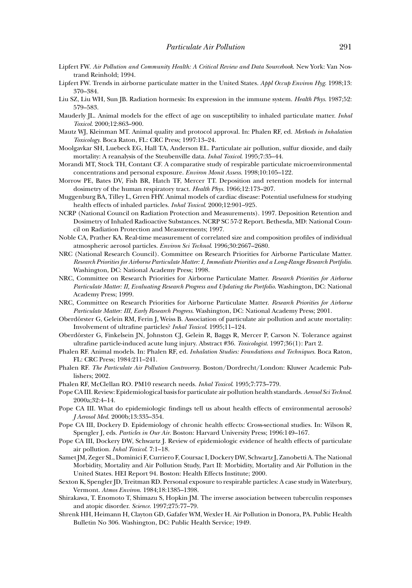- Lipfert FW. *Air Pollution and Community Health: A Critical Review and Data Sourcebook*. New York: Van Nostrand Reinhold; 1994.
- Lipfert FW. Trends in airborne particulate matter in the United States. *Appl Occup Environ Hyg*. 1998;13: 370–384.
- Liu SZ, Liu WH, Sun JB. Radiation hormesis: Its expression in the immune system. *Health Phys*. 1987;52: 579–583.
- Mauderly JL. Animal models for the effect of age on susceptibility to inhaled particulate matter. *Inhal Toxicol*. 2000;12:863–900.
- Mautz WJ, Kleinman MT. Animal quality and protocol approval. In: Phalen RF, ed. *Methods in Inhalation Toxicology*. Boca Raton, FL: CRC Press; 1997:13–24.
- Moolgavkar SH, Luebeck EG, Hall TA, Anderson EL. Particulate air pollution, sulfur dioxide, and daily mortality: A reanalysis of the Steubenville data. *Inhal Toxicol*. 1995;7:35–44.
- Morandi MT, Stock TH, Contant CF. A comparative study of respirable particulate microenvironmental concentrations and personal exposure. *Environ Monit Assess*. 1998;10:105–122.
- Morrow PE, Bates DV, Fish BR, Hatch TF, Mercer TT. Deposition and retention models for internal dosimetry of the human respiratory tract. *Health Phys*. 1966;12:173–207.
- Muggenburg BA, Tilley L, Grren FHY. Animal models of cardiac disease: Potential usefulness for studying health effects of inhaled particles. *Inhal Toxicol*. 2000;12:901–925.
- NCRP (National Council on Radiation Protection and Measurements). 1997. Deposition Retention and Dosimetry of Inhaled Radioactive Substances. NCRP SC 57-2 Report. Bethesda, MD: National Council on Radiation Protection and Measurements; 1997.
- Noble CA, Prather KA. Real-time measurement of correlated size and composition profiles of individual atmospheric aerosol particles. *Environ Sci Technol*. 1996;30:2667–2680.
- NRC (National Research Council). Committee on Research Priorities for Airborne Particulate Matter. *Research Priorities for Airborne Particulate Matter: I, Immediate Priorities and a Long-Range Research Portfolio*. Washington, DC: National Academy Press; 1998.
- NRC, Committee on Research Priorities for Airborne Particulate Matter. *Research Priorities for Airborne Particulate Matter: II, Evaluating Research Progress and Updating the Portfolio*. Washington, DC: National Academy Press; 1999.
- NRC, Committee on Research Priorities for Airborne Particulate Matter. *Research Priorities for Airborne Particulate Matter: III, Early Research Progress*. Washington, DC: National Academy Press; 2001.
- Oberdörster G, Gelein RM, Ferin J, Weiss B. Association of particulate air pollution and acute mortality: Involvement of ultrafine particles? *Inhal Toxicol*. 1995;11–124.
- Oberdörster G, Finkelsein JN, Johnston CJ, Gelein R, Baggs R, Mercer P, Carson N. Tolerance against ultrafine particle-induced acute lung injury. Abstract #36. *Toxicologist*. 1997;36(1): Part 2.
- Phalen RF. Animal models. In: Phalen RF, ed. *Inhalation Studies: Foundations and Techniques*. Boca Raton, FL: CRC Press; 1984:211–241.
- Phalen RF. *The Particulate Air Pollution Controversy*. Boston/Dordrecht/London: Kluwer Academic Publishers; 2002.
- Phalen RF, McClellan RO. PM10 research needs. *Inhal Toxicol*. 1995;7:773–779.
- Pope CA III. Review: Epidemiological basis for particulate air pollution health standards.*Aerosol Sci Technol*. 2000a;32:4–14.
- Pope CA III. What do epidemiologic findings tell us about health effects of environmental aerosols? *J Aerosol Med*. 2000b;13:335–354.
- Pope CA III, Dockery D. Epidemiology of chronic health effects: Cross-sectional studies. In: Wilson R, Spengler J, eds. *Particles in Our Air*. Boston: Harvard University Press; 1996:149–167.
- Pope CA III, Dockery DW, Schwartz J. Review of epidemiologic evidence of health effects of particulate air pollution. *Inhal Toxicol*. 7:1–18.
- Samet JM, Zeger SL, Dominici F, Curriero F, Coursac I, Dockery DW, Schwartz J, Zanobetti A. The National Morbidity, Mortality and Air Pollution Study, Part II: Morbidity, Mortality and Air Pollution in the United States. HEI Report 94. Boston: Health Effects Institute; 2000.
- Sexton K, Spengler JD, Treitman RD. Personal exposure to respirable particles: A case study in Waterbury, Vermont. *Atmos Environ*. 1984;18:1385–1398.
- Shirakawa, T. Enomoto T, Shimazu S, Hopkin JM. The inverse association between tuberculin responses and atopic disorder. *Science*. 1997;275:77–79.
- Shrenk HH, Heimann H, Clayton GD, Gafafer WM, Wexler H. Air Pollution in Donora, PA. Public Health Bulletin No 306. Washington, DC: Public Health Service; 1949.